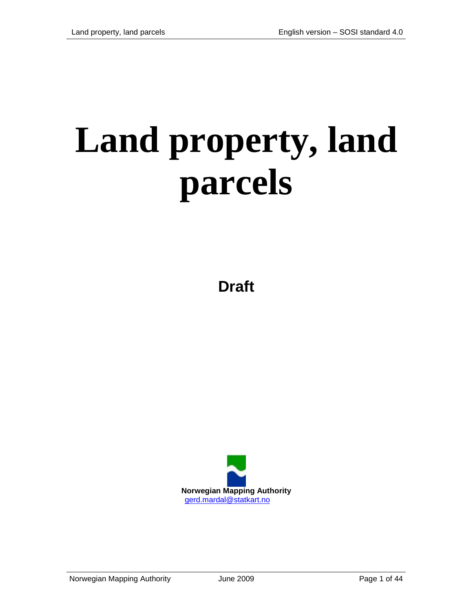# **Land property, land parcels**

**Draft**

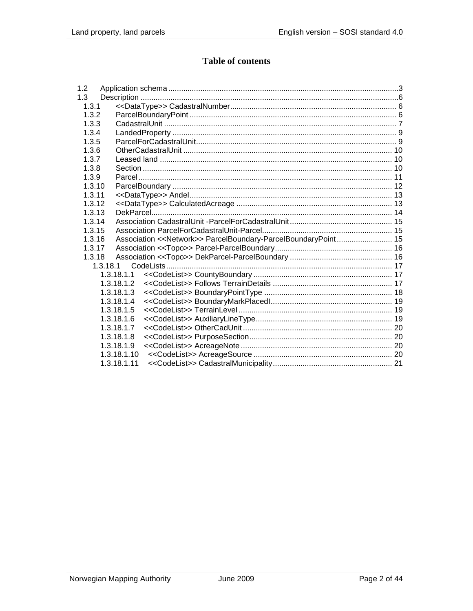## **Table of contents**

| 1.2      |                                                                |  |
|----------|----------------------------------------------------------------|--|
| 1.3      |                                                                |  |
| 1.3.1    |                                                                |  |
| 1.3.2    |                                                                |  |
| 1.3.3    |                                                                |  |
| 1.3.4    |                                                                |  |
| 1.3.5    |                                                                |  |
| 1.3.6    |                                                                |  |
| 1.3.7    |                                                                |  |
| 1.3.8    |                                                                |  |
| 1.3.9    |                                                                |  |
| 1.3.10   |                                                                |  |
| 1.3.11   |                                                                |  |
| 1.3.12   |                                                                |  |
| 1.3.13   |                                                                |  |
| 1.3.14   |                                                                |  |
| 1.3.15   |                                                                |  |
| 1.3.16   | Association << Network>> ParcelBoundary-ParcelBoundaryPoint 15 |  |
| 1.3.17   |                                                                |  |
| 1.3.18   |                                                                |  |
| 1.3.18.1 |                                                                |  |
|          | 1.3.18.1.1                                                     |  |
|          | 1.3.18.1.2                                                     |  |
|          | 1.3.18.1.3                                                     |  |
|          | 1.3.18.1.4                                                     |  |
|          | 1.3.18.1.5                                                     |  |
|          | 1.3.18.1.6                                                     |  |
|          | 1.3.18.1.7                                                     |  |
|          | 1.3.18.1.8                                                     |  |
|          | 1.3.18.1.9                                                     |  |
|          | 1.3.18.1.10                                                    |  |
|          | 1.3.18.1.11                                                    |  |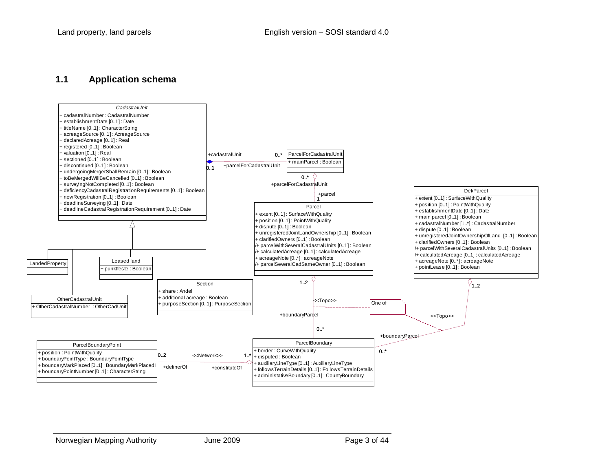#### **1.1 Application schema**

<span id="page-2-0"></span>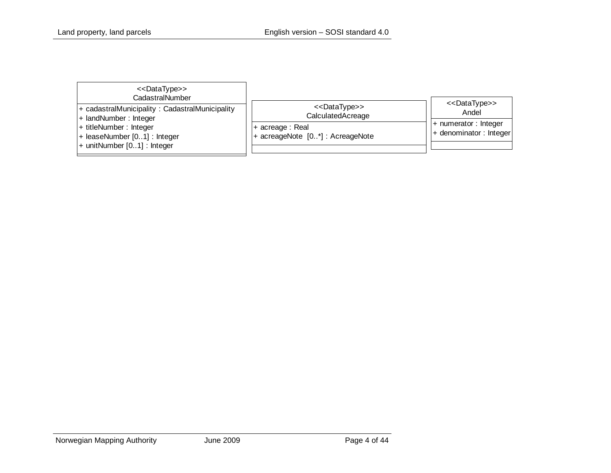| < <datatype>&gt;<br/>CadastralNumber</datatype>                                                                                                                      |                                                                                                             |                                                                                                         |
|----------------------------------------------------------------------------------------------------------------------------------------------------------------------|-------------------------------------------------------------------------------------------------------------|---------------------------------------------------------------------------------------------------------|
| + cadastralMunicipality: CadastralMunicipality<br>+ landNumber: Integer<br>+ titleNumber: Integer<br>+ leaseNumber [01] : Integer<br>$+$ unitNumber $[01]$ : Integer | < <datatype>&gt;<br/>CalculatedAcreage<br/>+ acreage : Real<br/>+ acreageNote [0*] : AcreageNote</datatype> | < <datatype>&gt;<br/>Andel<br/><math>+</math> numerator : Integer<br/>+ denominator: Integer</datatype> |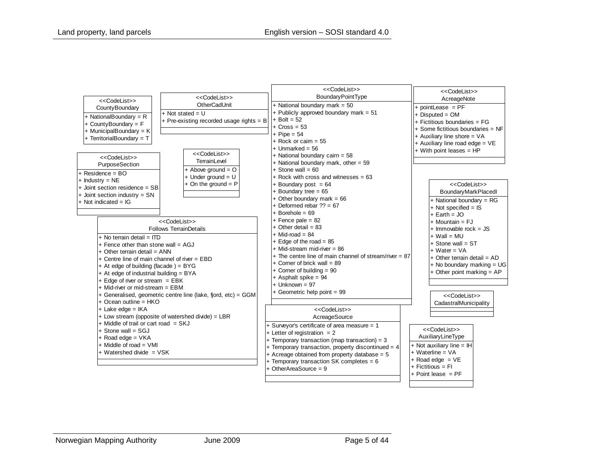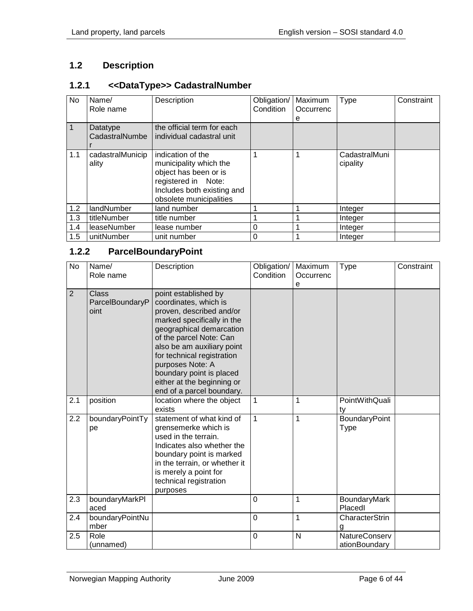# <span id="page-5-0"></span>**1.2 Description**

#### <span id="page-5-1"></span>**1.2.1 <<DataType>> CadastralNumber**

| No  | Name/<br>Role name         | Description                                                                                                                                          | Obligation/<br>Condition | Maximum<br>Occurrenc | Type                      | Constraint |
|-----|----------------------------|------------------------------------------------------------------------------------------------------------------------------------------------------|--------------------------|----------------------|---------------------------|------------|
|     |                            |                                                                                                                                                      |                          | е                    |                           |            |
|     | Datatype<br>CadastralNumbe | the official term for each<br>individual cadastral unit                                                                                              |                          |                      |                           |            |
| 1.1 | cadastralMunicip<br>ality  | indication of the<br>municipality which the<br>object has been or is<br>registered in Note:<br>Includes both existing and<br>obsolete municipalities |                          |                      | CadastralMuni<br>cipality |            |
| 1.2 | landNumber                 | land number                                                                                                                                          |                          |                      | Integer                   |            |
| 1.3 | titleNumber                | title number                                                                                                                                         |                          |                      | Integer                   |            |
| 1.4 | leaseNumber                | lease number                                                                                                                                         | 0                        |                      | Integer                   |            |
| 1.5 | unitNumber                 | unit number                                                                                                                                          | 0                        |                      | Integer                   |            |

#### <span id="page-5-2"></span>**1.2.2 ParcelBoundaryPoint**

| <b>No</b>      | Name/<br>Role name               | Description                                                                                                                                                                                                                                                                                                                           | Obligation/<br>Condition | Maximum<br>Occurrenc<br>е | <b>Type</b>                           | Constraint |
|----------------|----------------------------------|---------------------------------------------------------------------------------------------------------------------------------------------------------------------------------------------------------------------------------------------------------------------------------------------------------------------------------------|--------------------------|---------------------------|---------------------------------------|------------|
| $\overline{2}$ | Class<br>ParcelBoundaryP<br>oint | point established by<br>coordinates, which is<br>proven, described and/or<br>marked specifically in the<br>geographical demarcation<br>of the parcel Note: Can<br>also be am auxiliary point<br>for technical registration<br>purposes Note: A<br>boundary point is placed<br>either at the beginning or<br>end of a parcel boundary. |                          |                           |                                       |            |
| 2.1            | position                         | location where the object<br>exists                                                                                                                                                                                                                                                                                                   | 1                        | 1                         | PointWithQuali<br>ty                  |            |
| 2.2            | boundaryPointTy<br>pe            | statement of what kind of<br>grensemerke which is<br>used in the terrain.<br>Indicates also whether the<br>boundary point is marked<br>in the terrain, or whether it<br>is merely a point for<br>technical registration<br>purposes                                                                                                   | $\mathbf{1}$             | 1                         | BoundaryPoint<br>Type                 |            |
| 2.3            | boundaryMarkPl<br>aced           |                                                                                                                                                                                                                                                                                                                                       | 0                        | 1                         | BoundaryMark<br>Placedl               |            |
| 2.4            | boundaryPointNu<br>mber          |                                                                                                                                                                                                                                                                                                                                       | 0                        | 1                         | CharacterStrin<br>g                   |            |
| 2.5            | Role<br>(unnamed)                |                                                                                                                                                                                                                                                                                                                                       | 0                        | N                         | <b>NatureConserv</b><br>ationBoundary |            |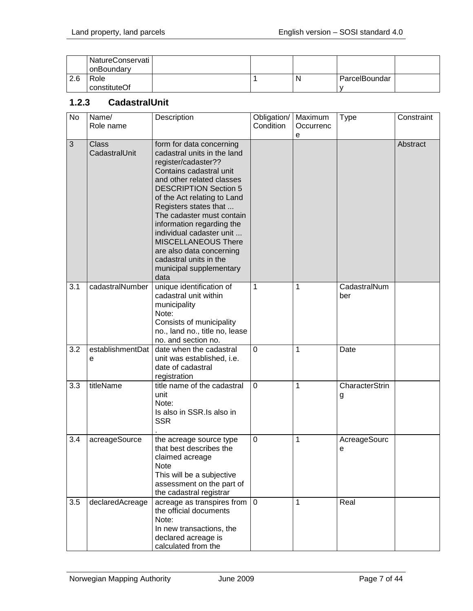|     | NatureConservati<br>onBoundary |  |   |               |  |
|-----|--------------------------------|--|---|---------------|--|
| 2.6 | Role                           |  | N | ParcelBoundar |  |
|     | constituteOf                   |  |   |               |  |

#### <span id="page-6-0"></span>**1.2.3 CadastralUnit**

| No  | Name/<br>Role name    | Description                                                                                                                                                                                                                                                                                                                                                                                              | Obligation/<br>Condition | Maximum<br>Occurrenc | <b>Type</b>         | Constraint |
|-----|-----------------------|----------------------------------------------------------------------------------------------------------------------------------------------------------------------------------------------------------------------------------------------------------------------------------------------------------------------------------------------------------------------------------------------------------|--------------------------|----------------------|---------------------|------------|
| 3   | Class                 | form for data concerning                                                                                                                                                                                                                                                                                                                                                                                 |                          | е                    |                     | Abstract   |
|     | CadastralUnit         | cadastral units in the land<br>register/cadaster??<br>Contains cadastral unit<br>and other related classes<br><b>DESCRIPTION Section 5</b><br>of the Act relating to Land<br>Registers states that<br>The cadaster must contain<br>information regarding the<br>individual cadaster unit<br>MISCELLANEOUS There<br>are also data concerning<br>cadastral units in the<br>municipal supplementary<br>data |                          |                      |                     |            |
| 3.1 | cadastralNumber       | unique identification of<br>cadastral unit within<br>municipality<br>Note:<br>Consists of municipality<br>no., land no., title no, lease<br>no. and section no.                                                                                                                                                                                                                                          | 1                        | 1                    | CadastralNum<br>ber |            |
| 3.2 | establishmentDat<br>e | date when the cadastral<br>unit was established, i.e.<br>date of cadastral<br>registration                                                                                                                                                                                                                                                                                                               | $\mathbf 0$              | 1                    | Date                |            |
| 3.3 | titleName             | title name of the cadastral<br>unit<br>Note:<br>Is also in SSR. Is also in<br><b>SSR</b>                                                                                                                                                                                                                                                                                                                 | $\Omega$                 | 1                    | CharacterStrin<br>g |            |
| 3.4 | acreageSource         | the acreage source type<br>that best describes the<br>claimed acreage<br><b>Note</b><br>This will be a subjective<br>assessment on the part of<br>the cadastral registrar                                                                                                                                                                                                                                | 0                        | 1                    | AcreageSourc<br>е   |            |
| 3.5 | declaredAcreage       | acreage as transpires from $ 0\rangle$<br>the official documents<br>Note:<br>In new transactions, the<br>declared acreage is<br>calculated from the                                                                                                                                                                                                                                                      |                          | 1                    | Real                |            |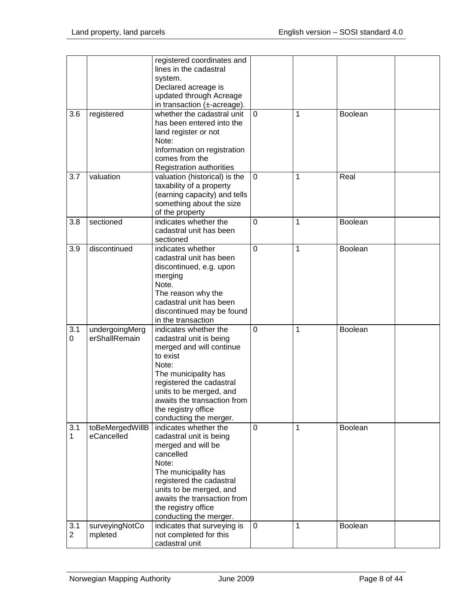|                |                 | registered coordinates and       |                |   |                |  |
|----------------|-----------------|----------------------------------|----------------|---|----------------|--|
|                |                 | lines in the cadastral           |                |   |                |  |
|                |                 | system.                          |                |   |                |  |
|                |                 | Declared acreage is              |                |   |                |  |
|                |                 | updated through Acreage          |                |   |                |  |
|                |                 | in transaction $(\pm$ -acreage). |                |   |                |  |
| 3.6            | registered      | whether the cadastral unit       | $\mathbf 0$    | 1 | <b>Boolean</b> |  |
|                |                 | has been entered into the        |                |   |                |  |
|                |                 | land register or not             |                |   |                |  |
|                |                 | Note:                            |                |   |                |  |
|                |                 | Information on registration      |                |   |                |  |
|                |                 | comes from the                   |                |   |                |  |
|                |                 | Registration authorities         |                |   |                |  |
| 3.7            | valuation       | valuation (historical) is the    | $\overline{0}$ | 1 | Real           |  |
|                |                 |                                  |                |   |                |  |
|                |                 | taxability of a property         |                |   |                |  |
|                |                 | (earning capacity) and tells     |                |   |                |  |
|                |                 | something about the size         |                |   |                |  |
|                |                 | of the property                  |                |   |                |  |
| 3.8            | sectioned       | indicates whether the            | $\mathbf 0$    | 1 | Boolean        |  |
|                |                 | cadastral unit has been          |                |   |                |  |
|                |                 | sectioned                        |                |   |                |  |
| 3.9            | discontinued    | indicates whether                | $\mathbf 0$    | 1 | <b>Boolean</b> |  |
|                |                 | cadastral unit has been          |                |   |                |  |
|                |                 | discontinued, e.g. upon          |                |   |                |  |
|                |                 | merging                          |                |   |                |  |
|                |                 | Note.                            |                |   |                |  |
|                |                 | The reason why the               |                |   |                |  |
|                |                 | cadastral unit has been          |                |   |                |  |
|                |                 | discontinued may be found        |                |   |                |  |
|                |                 | in the transaction               |                |   |                |  |
| 3.1            |                 |                                  | $\overline{0}$ | 1 |                |  |
|                | undergoingMerg  | indicates whether the            |                |   | <b>Boolean</b> |  |
| 0              | erShallRemain   | cadastral unit is being          |                |   |                |  |
|                |                 | merged and will continue         |                |   |                |  |
|                |                 | to exist                         |                |   |                |  |
|                |                 | Note:                            |                |   |                |  |
|                |                 | The municipality has             |                |   |                |  |
|                |                 | registered the cadastral         |                |   |                |  |
|                |                 | units to be merged, and          |                |   |                |  |
|                |                 | awaits the transaction from      |                |   |                |  |
|                |                 | the registry office              |                |   |                |  |
|                |                 | conducting the merger.           |                |   |                |  |
| 3.1            | toBeMergedWillB | indicates whether the            | $\overline{0}$ | 1 | Boolean        |  |
| $\mathbf{1}$   | eCancelled      | cadastral unit is being          |                |   |                |  |
|                |                 | merged and will be               |                |   |                |  |
|                |                 | cancelled                        |                |   |                |  |
|                |                 | Note:                            |                |   |                |  |
|                |                 | The municipality has             |                |   |                |  |
|                |                 | registered the cadastral         |                |   |                |  |
|                |                 | units to be merged, and          |                |   |                |  |
|                |                 | awaits the transaction from      |                |   |                |  |
|                |                 |                                  |                |   |                |  |
|                |                 | the registry office              |                |   |                |  |
|                |                 | conducting the merger.           |                |   |                |  |
| 3.1            | surveyingNotCo  | indicates that surveying is      | 0              | 1 | Boolean        |  |
| $\overline{2}$ | mpleted         | not completed for this           |                |   |                |  |
|                |                 | cadastral unit                   |                |   |                |  |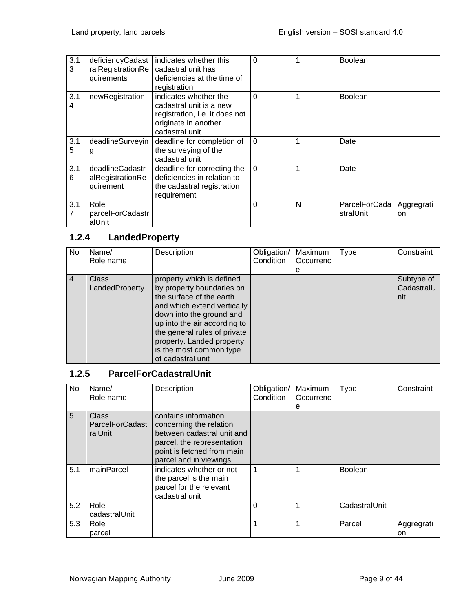| 3.1<br>3              | deficiencyCadast<br>ralRegistrationRe<br>quirements | indicates whether this<br>cadastral unit has<br>deficiencies at the time of<br>registration                                  | $\Omega$ |   | <b>Boolean</b>             |                  |
|-----------------------|-----------------------------------------------------|------------------------------------------------------------------------------------------------------------------------------|----------|---|----------------------------|------------------|
| 3.1<br>4              | newRegistration                                     | indicates whether the<br>cadastral unit is a new<br>registration, i.e. it does not<br>originate in another<br>cadastral unit | $\Omega$ |   | <b>Boolean</b>             |                  |
| 3.1<br>5              | deadlineSurveyin<br>g                               | deadline for completion of<br>the surveying of the<br>cadastral unit                                                         | $\Omega$ |   | Date                       |                  |
| 3.1<br>6              | deadlineCadastr<br>alRegistrationRe<br>quirement    | deadline for correcting the<br>deficiencies in relation to<br>the cadastral registration<br>requirement                      | $\Omega$ |   | Date                       |                  |
| 3.1<br>$\overline{7}$ | Role<br>parcelForCadastr<br>alUnit                  |                                                                                                                              | 0        | N | ParcelForCada<br>stralUnit | Aggregrati<br>on |

# <span id="page-8-0"></span>**1.2.4 LandedProperty**

| No             | Name/                          | Description                                                                                                                                                                                                                                                                                | Obligation/ | Maximum   | Type | Constraint                      |
|----------------|--------------------------------|--------------------------------------------------------------------------------------------------------------------------------------------------------------------------------------------------------------------------------------------------------------------------------------------|-------------|-----------|------|---------------------------------|
|                | Role name                      |                                                                                                                                                                                                                                                                                            | Condition   | Occurrenc |      |                                 |
|                |                                |                                                                                                                                                                                                                                                                                            |             | е         |      |                                 |
| $\overline{4}$ | <b>Class</b><br>LandedProperty | property which is defined<br>by property boundaries on<br>the surface of the earth<br>and which extend vertically<br>down into the ground and<br>up into the air according to<br>the general rules of private<br>property. Landed property<br>is the most common type<br>of cadastral unit |             |           |      | Subtype of<br>CadastralU<br>nit |

#### <span id="page-8-1"></span>**1.2.5 ParcelForCadastralUnit**

| No  | Name/<br>Role name                         | Description                                                                                                                                                          | Obligation/<br>Condition | Maximum<br>Occurrenc<br>е | Type           | Constraint       |
|-----|--------------------------------------------|----------------------------------------------------------------------------------------------------------------------------------------------------------------------|--------------------------|---------------------------|----------------|------------------|
| 5   | Class<br><b>ParcelForCadast</b><br>ralUnit | contains information<br>concerning the relation<br>between cadastral unit and<br>parcel. the representation<br>point is fetched from main<br>parcel and in viewings. |                          |                           |                |                  |
| 5.1 | mainParcel                                 | indicates whether or not<br>the parcel is the main<br>parcel for the relevant<br>cadastral unit                                                                      | 1                        |                           | <b>Boolean</b> |                  |
| 5.2 | Role<br>cadastralUnit                      |                                                                                                                                                                      | 0                        |                           | CadastralUnit  |                  |
| 5.3 | Role<br>parcel                             |                                                                                                                                                                      |                          |                           | Parcel         | Aggregrati<br>on |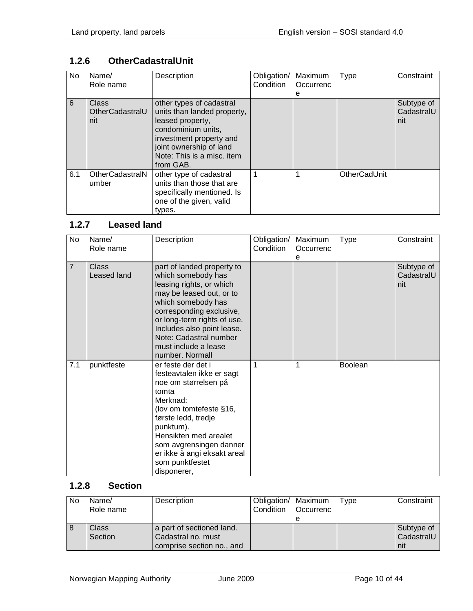## <span id="page-9-0"></span>**1.2.6 OtherCadastralUnit**

| No  | Name/<br>Role name                     | Description                                                                                                                                                                                        | Obligation/<br>Condition | Maximum<br>Occurrenc<br>е | <b>Type</b>         | Constraint                      |
|-----|----------------------------------------|----------------------------------------------------------------------------------------------------------------------------------------------------------------------------------------------------|--------------------------|---------------------------|---------------------|---------------------------------|
| 6   | <b>Class</b><br>OtherCadastralU<br>nit | other types of cadastral<br>units than landed property,<br>leased property,<br>condominium units,<br>investment property and<br>joint ownership of land<br>Note: This is a misc, item<br>from GAB. |                          |                           |                     | Subtype of<br>CadastralU<br>nit |
| 6.1 | OtherCadastralN<br>umber               | other type of cadastral<br>units than those that are<br>specifically mentioned. Is<br>one of the given, valid<br>types.                                                                            |                          | 1                         | <b>OtherCadUnit</b> |                                 |

### <span id="page-9-1"></span>**1.2.7 Leased land**

| No             | Name/<br>Role name   | Description                                                                                                                                                                                                                                                                                  | Obligation/<br>Condition | Maximum<br>Occurrenc<br>e | <b>Type</b>    | Constraint                      |
|----------------|----------------------|----------------------------------------------------------------------------------------------------------------------------------------------------------------------------------------------------------------------------------------------------------------------------------------------|--------------------------|---------------------------|----------------|---------------------------------|
| $\overline{7}$ | Class<br>Leased land | part of landed property to<br>which somebody has<br>leasing rights, or which<br>may be leased out, or to<br>which somebody has<br>corresponding exclusive,<br>or long-term rights of use.<br>Includes also point lease.<br>Note: Cadastral number<br>must include a lease<br>number. Normall |                          |                           |                | Subtype of<br>CadastralU<br>nit |
| 7.1            | punktfeste           | er feste der det i<br>festeavtalen ikke er sagt<br>noe om størrelsen på<br>tomta<br>Merknad:<br>(lov om tomtefeste §16,<br>første ledd, tredje<br>punktum).<br>Hensikten med arealet<br>som avgrensingen danner<br>er ikke å angi eksakt areal<br>som punktfestet<br>disponerer,             | 1                        | 1                         | <b>Boolean</b> |                                 |

## <span id="page-9-2"></span>**1.2.8 Section**

| <b>No</b> | Name/<br>Role name | Description                                                                  | Obligation/   Maximum<br>Condition   Occurrenc | e | Type | Constraint                      |
|-----------|--------------------|------------------------------------------------------------------------------|------------------------------------------------|---|------|---------------------------------|
| 8         | Class<br>Section   | a part of sectioned land.<br>Cadastral no. must<br>comprise section no., and |                                                |   |      | Subtype of<br>CadastralU<br>nit |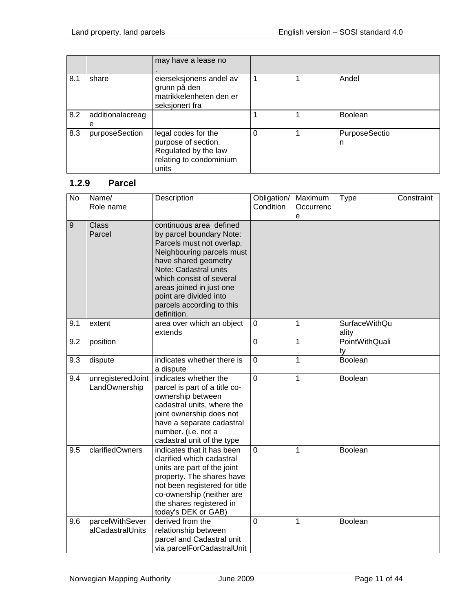|     |                       | may have a lease no                                                                                    |   |                    |  |
|-----|-----------------------|--------------------------------------------------------------------------------------------------------|---|--------------------|--|
| 8.1 | share                 | eierseksjonens andel av<br>grunn på den<br>matrikkelenheten den er<br>seksjonert fra                   |   | Andel              |  |
| 8.2 | additionalacreag<br>е |                                                                                                        |   | <b>Boolean</b>     |  |
| 8.3 | purposeSection        | legal codes for the<br>purpose of section.<br>Regulated by the law<br>relating to condominium<br>units | 0 | PurposeSectio<br>n |  |

#### <span id="page-10-0"></span>**1.2.9 Parcel**

| $\overline{N}$ | Name/<br>Role name                  | Description                                                                                                                                                                                                                                                                                  | Obligation/<br>Condition | Maximum<br>Occurrenc<br>e | <b>Type</b>            | Constraint |
|----------------|-------------------------------------|----------------------------------------------------------------------------------------------------------------------------------------------------------------------------------------------------------------------------------------------------------------------------------------------|--------------------------|---------------------------|------------------------|------------|
| 9              | <b>Class</b><br>Parcel              | continuous area defined<br>by parcel boundary Note:<br>Parcels must not overlap.<br>Neighbouring parcels must<br>have shared geometry<br>Note: Cadastral units<br>which consist of several<br>areas joined in just one<br>point are divided into<br>parcels according to this<br>definition. |                          |                           |                        |            |
| 9.1            | extent                              | area over which an object<br>extends                                                                                                                                                                                                                                                         | 0                        | 1                         | SurfaceWithQu<br>ality |            |
| 9.2            | position                            |                                                                                                                                                                                                                                                                                              | 0                        | $\mathbf{1}$              | PointWithQuali<br>ty   |            |
| 9.3            | dispute                             | indicates whether there is<br>a dispute                                                                                                                                                                                                                                                      | 0                        | $\mathbf{1}$              | <b>Boolean</b>         |            |
| 9.4            | unregisteredJoint<br>LandOwnership  | indicates whether the<br>parcel is part of a title co-<br>ownership between<br>cadastral units, where the<br>joint ownership does not<br>have a separate cadastral<br>number. (i.e. not a<br>cadastral unit of the type                                                                      | $\overline{0}$           | $\overline{1}$            | Boolean                |            |
| 9.5            | clarifiedOwners                     | indicates that it has been<br>clarified which cadastral<br>units are part of the joint<br>property. The shares have<br>not been registered for title<br>co-ownership (neither are<br>the shares registered in<br>today's DEK or GAB)                                                         | $\overline{0}$           | 1                         | <b>Boolean</b>         |            |
| 9.6            | parcelWithSever<br>alCadastralUnits | derived from the<br>relationship between<br>parcel and Cadastral unit<br>via parcelForCadastralUnit                                                                                                                                                                                          | 0                        | 1                         | Boolean                |            |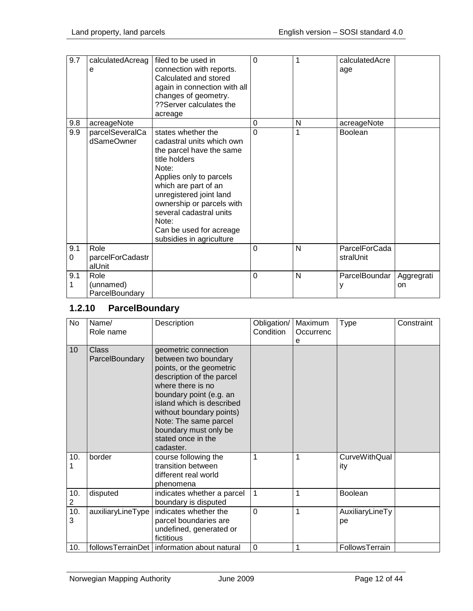| 9.7      | calculatedAcreag<br>е               | filed to be used in<br>connection with reports.<br>Calculated and stored<br>again in connection with all<br>changes of geometry.<br>??Server calculates the<br>acreage                                                                                                                                      | $\Omega$ | 1 | calculatedAcre<br>age      |                  |
|----------|-------------------------------------|-------------------------------------------------------------------------------------------------------------------------------------------------------------------------------------------------------------------------------------------------------------------------------------------------------------|----------|---|----------------------------|------------------|
| 9.8      | acreageNote                         |                                                                                                                                                                                                                                                                                                             | $\Omega$ | N | acreageNote                |                  |
| 9.9      | parcelSeveralCa<br>dSameOwner       | states whether the<br>cadastral units which own<br>the parcel have the same<br>title holders<br>Note:<br>Applies only to parcels<br>which are part of an<br>unregistered joint land<br>ownership or parcels with<br>several cadastral units<br>Note:<br>Can be used for acreage<br>subsidies in agriculture | $\Omega$ | 1 | Boolean                    |                  |
| 9.1<br>0 | Role<br>parcelForCadastr<br>alUnit  |                                                                                                                                                                                                                                                                                                             | $\Omega$ | N | ParcelForCada<br>stralUnit |                  |
| 9.1<br>1 | Role<br>(unnamed)<br>ParcelBoundary |                                                                                                                                                                                                                                                                                                             | $\Omega$ | N | ParcelBoundar<br>у         | Aggregrati<br>on |

## <span id="page-11-0"></span>**1.2.10 ParcelBoundary**

| <b>No</b>             | Name/<br>Role name             | Description                                                                                                                                                                                                                                                                                         | Obligation/<br>Condition | Maximum<br>Occurrenc<br>е | <b>Type</b>                 | Constraint |
|-----------------------|--------------------------------|-----------------------------------------------------------------------------------------------------------------------------------------------------------------------------------------------------------------------------------------------------------------------------------------------------|--------------------------|---------------------------|-----------------------------|------------|
| 10                    | <b>Class</b><br>ParcelBoundary | geometric connection<br>between two boundary<br>points, or the geometric<br>description of the parcel<br>where there is no<br>boundary point (e.g. an<br>island which is described<br>without boundary points)<br>Note: The same parcel<br>boundary must only be<br>stated once in the<br>cadaster. |                          |                           |                             |            |
| 10.                   | border                         | course following the<br>transition between<br>different real world<br>phenomena                                                                                                                                                                                                                     | 1                        | 1                         | <b>CurveWithQual</b><br>ity |            |
| 10.<br>$\overline{2}$ | disputed                       | indicates whether a parcel<br>boundary is disputed                                                                                                                                                                                                                                                  | 1                        | 1                         | Boolean                     |            |
| 10.<br>3              | auxiliaryLineType              | indicates whether the<br>parcel boundaries are<br>undefined, generated or<br>fictitious                                                                                                                                                                                                             | $\overline{0}$           | 1                         | AuxiliaryLineTy<br>рe       |            |
| 10.                   |                                | followsTerrainDet   information about natural                                                                                                                                                                                                                                                       | 0                        | 1                         | FollowsTerrain              |            |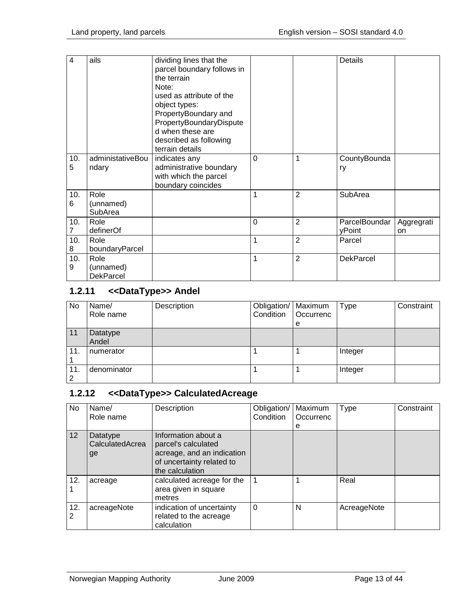| $\overline{4}$        | ails                                  | dividing lines that the<br>parcel boundary follows in<br>the terrain<br>Note:<br>used as attribute of the<br>object types:<br>PropertyBoundary and<br>PropertyBoundaryDispute<br>d when these are<br>described as following<br>terrain details |   |                | <b>Details</b>          |                  |
|-----------------------|---------------------------------------|------------------------------------------------------------------------------------------------------------------------------------------------------------------------------------------------------------------------------------------------|---|----------------|-------------------------|------------------|
| 10.<br>5              | administativeBou<br>ndary             | indicates any<br>administrative boundary<br>with which the parcel<br>boundary coincides                                                                                                                                                        | 0 | 1              | CountyBounda<br>ry      |                  |
| 10.<br>6              | Role<br>(unnamed)<br>SubArea          |                                                                                                                                                                                                                                                | 1 | 2              | SubArea                 |                  |
| 10.<br>$\overline{7}$ | Role<br>definerOf                     |                                                                                                                                                                                                                                                | 0 | 2              | ParcelBoundar<br>yPoint | Aggregrati<br>on |
| 10.<br>8              | Role<br>boundaryParcel                |                                                                                                                                                                                                                                                | 1 | $\overline{2}$ | Parcel                  |                  |
| 10.<br>9              | Role<br>(unnamed)<br><b>DekParcel</b> |                                                                                                                                                                                                                                                | 1 | $\overline{2}$ | <b>DekParcel</b>        |                  |

## <span id="page-12-0"></span>**1.2.11 <<DataType>> Andel**

| <b>No</b> | Name/<br>Role name | Description | Obligation/   Maximum<br>Condition | Occurrenc | <b>Type</b> | Constraint |
|-----------|--------------------|-------------|------------------------------------|-----------|-------------|------------|
|           |                    |             |                                    | e         |             |            |
| 11        | Datatype<br>Andel  |             |                                    |           |             |            |
| 11.       | numerator          |             |                                    |           | Integer     |            |
| 11.<br>2  | denominator        |             |                                    |           | Integer     |            |

## <span id="page-12-1"></span>**1.2.12 <<DataType>> CalculatedAcreage**

| No.             | Name/<br>Role name                | Description                                                                                                              | Obligation/<br>Condition | Maximum<br>Occurrenc<br>е | Type        | Constraint |
|-----------------|-----------------------------------|--------------------------------------------------------------------------------------------------------------------------|--------------------------|---------------------------|-------------|------------|
| 12 <sup>2</sup> | Datatype<br>CalculatedAcrea<br>ge | Information about a<br>parcel's calculated<br>acreage, and an indication<br>of uncertainty related to<br>the calculation |                          |                           |             |            |
| 12.             | acreage                           | calculated acreage for the<br>area given in square<br>metres                                                             | $\overline{1}$           |                           | Real        |            |
| 12.<br>2        | acreageNote                       | indication of uncertainty<br>related to the acreage<br>calculation                                                       | $\Omega$                 | N                         | AcreageNote |            |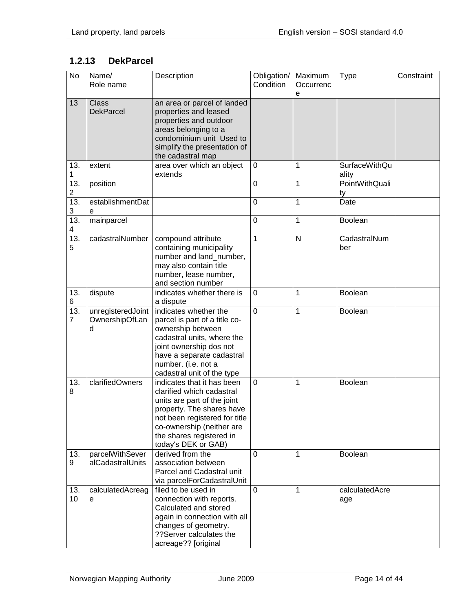# <span id="page-13-0"></span>**1.2.13 DekParcel**

| No                                  | Name/<br>Role name                       | Description                                                                                                                                                                                                                          | Obligation/<br>Condition | Maximum<br>Occurrenc<br>e | <b>Type</b>                   | Constraint |
|-------------------------------------|------------------------------------------|--------------------------------------------------------------------------------------------------------------------------------------------------------------------------------------------------------------------------------------|--------------------------|---------------------------|-------------------------------|------------|
| 13                                  | Class<br><b>DekParcel</b>                | an area or parcel of landed<br>properties and leased<br>properties and outdoor<br>areas belonging to a<br>condominium unit Used to<br>simplify the presentation of<br>the cadastral map                                              |                          |                           |                               |            |
| 13.<br>1                            | extent                                   | area over which an object<br>extends                                                                                                                                                                                                 | 0                        | 1                         | <b>SurfaceWithQu</b><br>ality |            |
| $\overline{13}$ .<br>$\overline{2}$ | position                                 |                                                                                                                                                                                                                                      | 0                        | 1                         | PointWithQuali<br>ty          |            |
| 13.<br>3                            | establishmentDat<br>е                    |                                                                                                                                                                                                                                      | 0                        | 1                         | Date                          |            |
| 13.<br>4                            | mainparcel                               |                                                                                                                                                                                                                                      | 0                        | 1                         | <b>Boolean</b>                |            |
| 13.<br>5                            | cadastralNumber                          | compound attribute<br>containing municipality<br>number and land_number,<br>may also contain title<br>number, lease number,<br>and section number                                                                                    | 1                        | $\mathsf{N}$              | CadastralNum<br>ber           |            |
| 13.<br>6                            | dispute                                  | indicates whether there is<br>a dispute                                                                                                                                                                                              | 0                        | 1                         | Boolean                       |            |
| 13.<br>$\overline{7}$               | unregisteredJoint<br>OwnershipOfLan<br>d | indicates whether the<br>parcel is part of a title co-<br>ownership between<br>cadastral units, where the<br>joint ownership dos not<br>have a separate cadastral<br>number. (i.e. not a<br>cadastral unit of the type               | 0                        | 1                         | <b>Boolean</b>                |            |
| 13.<br>8                            | clarifiedOwners                          | indicates that it has been<br>clarified which cadastral<br>units are part of the joint<br>property. The shares have<br>not been registered for title<br>co-ownership (neither are<br>the shares registered in<br>today's DEK or GAB) | 0                        | 1                         | Boolean                       |            |
| 13.<br>9                            | parcelWithSever<br>alCadastralUnits      | derived from the<br>association between<br>Parcel and Cadastral unit<br>via parcelForCadastralUnit                                                                                                                                   | 0                        | 1                         | Boolean                       |            |
| 13.<br>10                           | calculatedAcreag<br>e                    | filed to be used in<br>connection with reports.<br>Calculated and stored<br>again in connection with all<br>changes of geometry.<br>??Server calculates the<br>acreage?? [original                                                   | $\mathbf 0$              | 1                         | calculatedAcre<br>age         |            |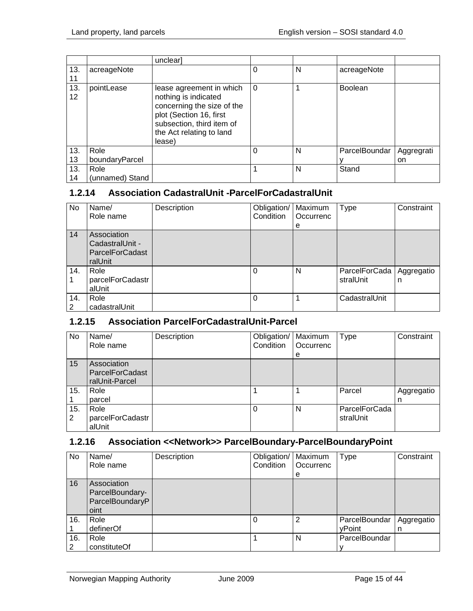|                        |                 | unclear]                                                                                                                                                                     |          |   |                |            |
|------------------------|-----------------|------------------------------------------------------------------------------------------------------------------------------------------------------------------------------|----------|---|----------------|------------|
| 13.<br>11              | acreageNote     |                                                                                                                                                                              |          | N | acreageNote    |            |
| 13.<br>12 <sup>2</sup> | pointLease      | lease agreement in which<br>nothing is indicated<br>concerning the size of the<br>plot (Section 16, first<br>subsection, third item of<br>the Act relating to land<br>lease) | $\Omega$ |   | <b>Boolean</b> |            |
| 13.                    | Role            |                                                                                                                                                                              |          | N | ParcelBoundar  | Aggregrati |
| 13                     | boundaryParcel  |                                                                                                                                                                              |          |   |                | on         |
| 13.                    | Role            |                                                                                                                                                                              |          | N | Stand          |            |
| 14                     | (unnamed) Stand |                                                                                                                                                                              |          |   |                |            |

#### <span id="page-14-0"></span>**1.2.14 Association CadastralUnit -ParcelForCadastralUnit**

| No       | Name/<br>Role name                                           | Description | Obligation/<br>Condition | Maximum<br>Occurrenc<br>е | <b>Type</b>                | Constraint      |
|----------|--------------------------------------------------------------|-------------|--------------------------|---------------------------|----------------------------|-----------------|
| 14       | Association<br>CadastralUnit -<br>ParcelForCadast<br>ralUnit |             |                          |                           |                            |                 |
| 14.      | Role<br>parcelForCadastr<br>alUnit                           |             | 0                        | N                         | ParcelForCada<br>stralUnit | Aggregatio<br>n |
| 14.<br>2 | Role<br>cadastralUnit                                        |             | $\mathbf{0}$             |                           | CadastralUnit              |                 |

#### <span id="page-14-1"></span>**1.2.15 Association ParcelForCadastralUnit-Parcel**

| No       | Name/<br>Role name                                      | Description | Obligation/   Maximum<br>Condition | Occurrenc<br>е | <b>Type</b>                | Constraint      |
|----------|---------------------------------------------------------|-------------|------------------------------------|----------------|----------------------------|-----------------|
| 15       | Association<br><b>ParcelForCadast</b><br>ralUnit-Parcel |             |                                    |                |                            |                 |
| 15.      | Role<br>parcel                                          |             |                                    |                | Parcel                     | Aggregatio<br>n |
| 15.<br>2 | Role<br>parcelForCadastr<br>alUnit                      |             | $\Omega$                           | N              | ParcelForCada<br>stralUnit |                 |

### <span id="page-14-2"></span>**1.2.16 Association <<Network>> ParcelBoundary-ParcelBoundaryPoint**

| No       | Name/<br>Role name                                        | Description | Obligation/   Maximum<br>Condition | Occurrenc<br>е | Type                    | Constraint      |
|----------|-----------------------------------------------------------|-------------|------------------------------------|----------------|-------------------------|-----------------|
| 16       | Association<br>ParcelBoundary-<br>ParcelBoundaryP<br>oint |             |                                    |                |                         |                 |
| 16.      | Role<br>definerOf                                         |             | $\Omega$                           | 2              | ParcelBoundar<br>yPoint | Aggregatio<br>n |
| 16.<br>2 | Role<br>constituteOf                                      |             |                                    | N              | ParcelBoundar           |                 |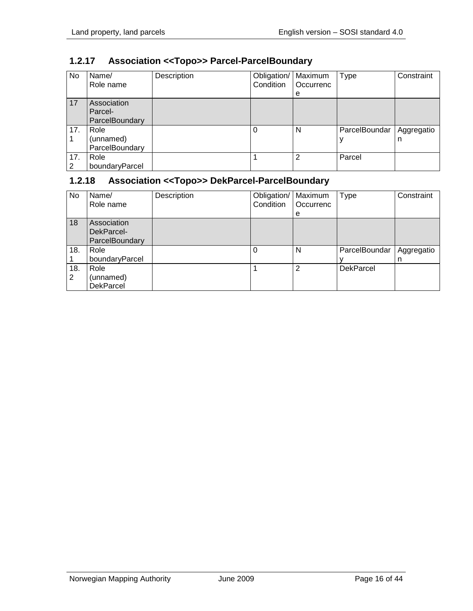| No  | Name/<br>Role name | Description | Obligation/<br>Condition | Maximum<br>Occurrenc | Type          | Constraint |
|-----|--------------------|-------------|--------------------------|----------------------|---------------|------------|
|     |                    |             |                          |                      |               |            |
|     |                    |             |                          | е                    |               |            |
| 17  | Association        |             |                          |                      |               |            |
|     | Parcel-            |             |                          |                      |               |            |
|     | ParcelBoundary     |             |                          |                      |               |            |
| 17. | Role               |             | $\Omega$                 | N                    | ParcelBoundar | Aggregatio |
|     | (unnamed)          |             |                          |                      |               | n          |
|     | ParcelBoundary     |             |                          |                      |               |            |
| 17. | Role               |             |                          | 2                    | Parcel        |            |
| 2   | boundaryParcel     |             |                          |                      |               |            |

## <span id="page-15-0"></span>**1.2.17 Association <<Topo>> Parcel-ParcelBoundary**

## <span id="page-15-1"></span>**1.2.18 Association <<Topo>> DekParcel-ParcelBoundary**

| No.      | Name/<br>Role name                          | Description | Obligation/<br>Condition | Maximum<br>Occurrenc<br>е | Type             | Constraint      |
|----------|---------------------------------------------|-------------|--------------------------|---------------------------|------------------|-----------------|
| 18       | Association<br>DekParcel-<br>ParcelBoundary |             |                          |                           |                  |                 |
| 18.      | Role<br>boundaryParcel                      |             |                          | N                         | ParcelBoundar    | Aggregatio<br>n |
| 18.<br>2 | Role<br>(unnamed)<br><b>DekParcel</b>       |             |                          | っ                         | <b>DekParcel</b> |                 |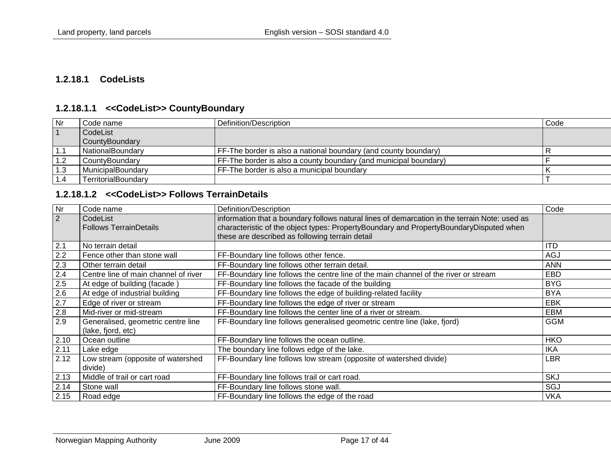#### **1.2.18.1 CodeLists**

#### **1.2.18.1.1 <<CodeList>> CountyBoundary**

| <b>Nr</b> | Code name                | Definition/Description                                           | Code |
|-----------|--------------------------|------------------------------------------------------------------|------|
|           | CodeList                 |                                                                  |      |
|           | CountyBoundary           |                                                                  |      |
| 1.1       | NationalBoundary         | FF-The border is also a national boundary (and county boundary)  |      |
|           | CountyBoundary           | FF-The border is also a county boundary (and municipal boundary) |      |
| 1.3       | <b>MunicipalBoundary</b> | FF-The border is also a municipal boundary                       |      |
|           | TerritorialBoundary      |                                                                  |      |

#### **1.2.18.1.2 <<CodeList>> Follows TerrainDetails**

<span id="page-16-2"></span><span id="page-16-1"></span><span id="page-16-0"></span>

| Nr      | Code name                            | Definition/Description                                                                        | Code       |
|---------|--------------------------------------|-----------------------------------------------------------------------------------------------|------------|
| 2       | CodeList                             | information that a boundary follows natural lines of demarcation in the terrain Note: used as |            |
|         | <b>Follows TerrainDetails</b>        | characteristic of the object types: PropertyBoundary and PropertyBoundaryDisputed when        |            |
|         |                                      | these are described as following terrain detail                                               |            |
| 2.1     | No terrain detail                    |                                                                                               | <b>ITD</b> |
| 2.2     | Fence other than stone wall          | FF-Boundary line follows other fence.                                                         | <b>AGJ</b> |
| 2.3     | Other terrain detail                 | FF-Boundary line follows other terrain detail.                                                | <b>ANN</b> |
| 2.4     | Centre line of main channel of river | FF-Boundary line follows the centre line of the main channel of the river or stream           | EBD        |
| 2.5     | At edge of building (facade)         | FF-Boundary line follows the facade of the building                                           | <b>BYG</b> |
| 2.6     | At edge of industrial building       | FF-Boundary line follows the edge of building-related facility                                | <b>BYA</b> |
| $2.7\,$ | Edge of river or stream              | FF-Boundary line follows the edge of river or stream                                          | <b>EBK</b> |
| 2.8     | Mid-river or mid-stream              | FF-Boundary line follows the center line of a river or stream.                                | <b>EBM</b> |
| 2.9     | Generalised, geometric centre line   | FF-Boundary line follows generalised geometric centre line (lake, fjord)                      | <b>GGM</b> |
|         | (lake, fjord, etc)                   |                                                                                               |            |
| 2.10    | Ocean outline                        | FF-Boundary line follows the ocean outline.                                                   | <b>HKO</b> |
| 2.11    | Lake edge                            | The boundary line follows edge of the lake.                                                   | <b>IKA</b> |
| 2.12    | Low stream (opposite of watershed    | FF-Boundary line follows low stream (opposite of watershed divide)                            | <b>LBR</b> |
|         | divide)                              |                                                                                               |            |
| 2.13    | Middle of trail or cart road         | FF-Boundary line follows trail or cart road.                                                  | <b>SKJ</b> |
| 2.14    | Stone wall                           | FF-Boundary line follows stone wall.                                                          | SGJ        |
| 2.15    | Road edge                            | FF-Boundary line follows the edge of the road                                                 | <b>VKA</b> |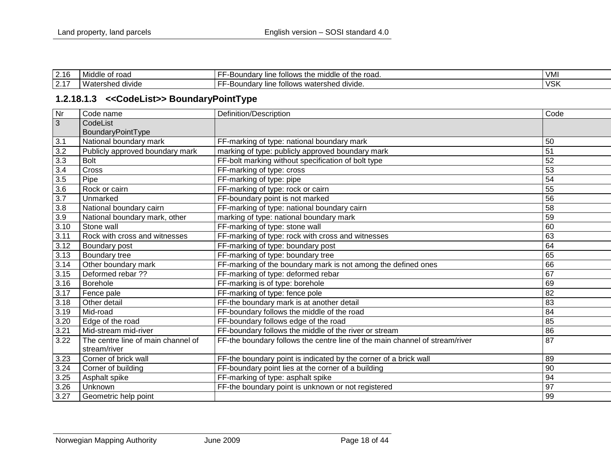| 2.16                        | of road<br>Middle    | .<br>of the road.<br>s the middle of<br>tollows<br>undarv.<br>7 line.<br>. .<br>-- - | VMI        |
|-----------------------------|----------------------|--------------------------------------------------------------------------------------|------------|
| $0.4 -$<br>$\mathsf{Z}$ . I | .<br>sher'<br>divide | divide.<br>watershed ،<br>tollows<br>∵oundarvس<br>∵ line.                            | <b>VSK</b> |

#### **1.2.18.1.3 <<CodeList>> BoundaryPointType**

<span id="page-17-0"></span>

| Nr   | Code name                          | Definition/Description                                                      | Code            |
|------|------------------------------------|-----------------------------------------------------------------------------|-----------------|
| 3    | CodeList                           |                                                                             |                 |
|      | BoundaryPointType                  |                                                                             |                 |
| 3.1  | National boundary mark             | FF-marking of type: national boundary mark                                  | 50              |
| 3.2  | Publicly approved boundary mark    | marking of type: publicly approved boundary mark                            | $\overline{51}$ |
| 3.3  | <b>Bolt</b>                        | FF-bolt marking without specification of bolt type                          | 52              |
| 3.4  | Cross                              | FF-marking of type: cross                                                   | 53              |
| 3.5  | Pipe                               | FF-marking of type: pipe                                                    | 54              |
| 3.6  | Rock or cairn                      | FF-marking of type: rock or cairn                                           | 55              |
| 3.7  | Unmarked                           | FF-boundary point is not marked                                             | 56              |
| 3.8  | National boundary cairn            | FF-marking of type: national boundary cairn                                 | 58              |
| 3.9  | National boundary mark, other      | marking of type: national boundary mark                                     | 59              |
| 3.10 | Stone wall                         | FF-marking of type: stone wall                                              | 60              |
| 3.11 | Rock with cross and witnesses      | FF-marking of type: rock with cross and witnesses                           | 63              |
| 3.12 | Boundary post                      | FF-marking of type: boundary post                                           | 64              |
| 3.13 | Boundary tree                      | FF-marking of type: boundary tree                                           | 65              |
| 3.14 | Other boundary mark                | FF-marking of the boundary mark is not among the defined ones               | 66              |
| 3.15 | Deformed rebar ??                  | FF-marking of type: deformed rebar                                          | 67              |
| 3.16 | Borehole                           | FF-marking is of type: borehole                                             | 69              |
| 3.17 | Fence pale                         | FF-marking of type: fence pole                                              | 82              |
| 3.18 | Other detail                       | FF-the boundary mark is at another detail                                   | 83              |
| 3.19 | Mid-road                           | FF-boundary follows the middle of the road                                  | 84              |
| 3.20 | Edge of the road                   | FF-boundary follows edge of the road                                        | 85              |
| 3.21 | Mid-stream mid-river               | FF-boundary follows the middle of the river or stream                       | 86              |
| 3.22 | The centre line of main channel of | FF-the boundary follows the centre line of the main channel of stream/river | 87              |
|      | stream/river                       |                                                                             |                 |
| 3.23 | Corner of brick wall               | FF-the boundary point is indicated by the corner of a brick wall            | 89              |
| 3.24 | Corner of building                 | FF-boundary point lies at the corner of a building                          | 90              |
| 3.25 | Asphalt spike                      | FF-marking of type: asphalt spike                                           | 94              |
| 3.26 | Unknown                            | FF-the boundary point is unknown or not registered                          | 97              |
| 3.27 | Geometric help point               |                                                                             | 99              |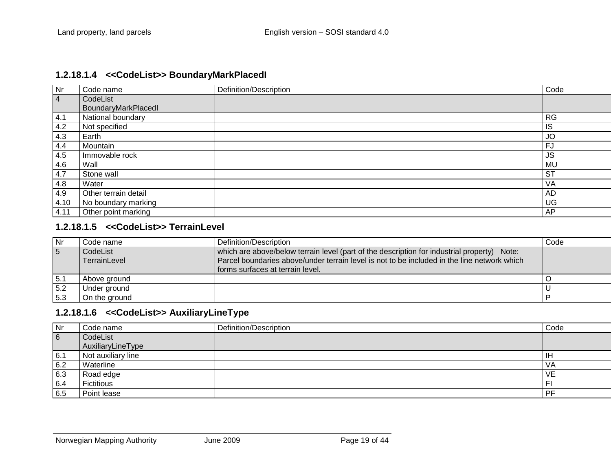#### **1.2.18.1.4 <<CodeList>> BoundaryMarkPlacedI**

| Nr             | Code name            | Definition/Description | Code      |
|----------------|----------------------|------------------------|-----------|
| $\overline{4}$ | CodeList             |                        |           |
|                | BoundaryMarkPlacedl  |                        |           |
| 4.1            | National boundary    |                        | <b>RG</b> |
| 4.2            | Not specified        |                        | IS        |
| 4.3            | Earth                |                        | JO        |
| 4.4            | Mountain             |                        | <b>FJ</b> |
| 4.5            | Immovable rock       |                        | <b>JS</b> |
| 4.6            | Wall                 |                        | <b>MU</b> |
| 4.7            | Stone wall           |                        | <b>ST</b> |
| 4.8            | Water                |                        | VA        |
| 4.9            | Other terrain detail |                        | <b>AD</b> |
| 4.10           | No boundary marking  |                        | <b>UG</b> |
| 4.11           | Other point marking  |                        | AP        |

#### <span id="page-18-0"></span>**1.2.18.1.5 <<CodeList>> TerrainLevel**

| <b>Nr</b>       | Code name :              | Definition/Description                                                                                                                                                                                                         | Code |
|-----------------|--------------------------|--------------------------------------------------------------------------------------------------------------------------------------------------------------------------------------------------------------------------------|------|
| $5\overline{5}$ | CodeList<br>TerrainLevel | which are above/below terrain level (part of the description for industrial property) Note:<br>Parcel boundaries above/under terrain level is not to be included in the line network which<br>forms surfaces at terrain level. |      |
| 5.1             | Above ground             |                                                                                                                                                                                                                                |      |
| 5.2             | Under ground             |                                                                                                                                                                                                                                |      |
| 5.3             | On the around            |                                                                                                                                                                                                                                |      |

#### **1.2.18.1.6 <<CodeList>> AuxiliaryLineType**

<span id="page-18-2"></span><span id="page-18-1"></span>

| Nr  | Code name          | Definition/Description | Code         |
|-----|--------------------|------------------------|--------------|
| 6   | CodeList           |                        |              |
|     | AuxiliaryLineType  |                        |              |
| 6.1 | Not auxiliary line |                        | $\mathbb{H}$ |
| 6.2 | Waterline          |                        | <b>VA</b>    |
| 6.3 | Road edge          |                        | <b>VE</b>    |
| 6.4 | <b>Fictitious</b>  |                        |              |
| 6.5 | Point lease        |                        | PF           |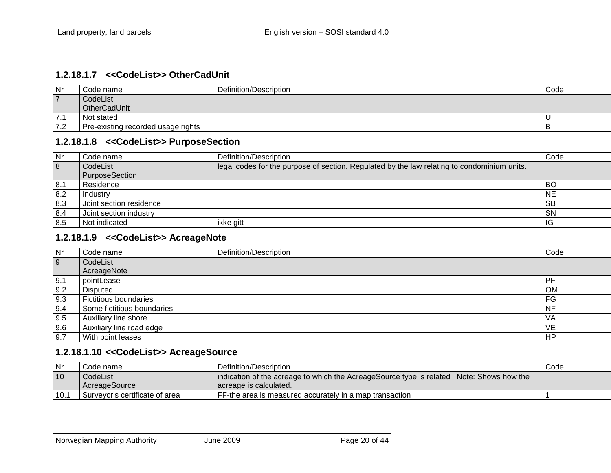#### **1.2.18.1.7 <<CodeList>> OtherCadUnit**

| Nr             | Code name                          | Definition/Description | Code |
|----------------|------------------------------------|------------------------|------|
| $\overline{ }$ | CodeList                           |                        |      |
|                | OtherCadUnit                       |                        |      |
| 7.1            | Not stated                         |                        |      |
| 7.2            | Pre-existing recorded usage rights |                        |      |

#### **1.2.18.1.8 <<CodeList>> PurposeSection**

| $\overline{\mathsf{N}}$ r | Code name               | Definition/Description                                                                      | Code      |
|---------------------------|-------------------------|---------------------------------------------------------------------------------------------|-----------|
| 8                         | CodeList                | legal codes for the purpose of section. Regulated by the law relating to condominium units. |           |
|                           | <b>PurposeSection</b>   |                                                                                             |           |
| 8.1                       | Residence               |                                                                                             | BO        |
| 8.2                       | Industry                |                                                                                             | <b>NE</b> |
| 8.3                       | Joint section residence |                                                                                             | <b>SB</b> |
| 8.4                       | Joint section industry  |                                                                                             | <b>SN</b> |
| 8.5                       | Not indicated           | ikke gitt                                                                                   | IG        |

#### <span id="page-19-0"></span>**1.2.18.1.9 <<CodeList>> AcreageNote**

<span id="page-19-1"></span>

| <b>Nr</b> | Code name                    | Definition/Description | Code      |
|-----------|------------------------------|------------------------|-----------|
| 9         | CodeList                     |                        |           |
|           | AcreageNote                  |                        |           |
| 9.1       | pointLease                   |                        | PF        |
| 9.2       | <b>Disputed</b>              |                        | <b>OM</b> |
| 9.3       | <b>Fictitious boundaries</b> |                        | FG        |
| 9.4       | Some fictitious boundaries   |                        | <b>NF</b> |
| 9.5       | Auxiliary line shore         |                        | <b>VA</b> |
| 9.6       | Auxiliary line road edge     |                        | VE        |
| 9.7       | With point leases            |                        | <b>HP</b> |

#### **1.2.18.1.10 <<CodeList>> AcreageSource**

<span id="page-19-3"></span><span id="page-19-2"></span>

| Nr   | Code name                      | Definition/Description                                                                   | Code |
|------|--------------------------------|------------------------------------------------------------------------------------------|------|
| 10   | CodeList                       | indication of the acreage to which the AcreageSource type is related Note: Shows how the |      |
|      | l AcreageSource                | Lacreage is calculated.                                                                  |      |
| 10.1 | Survevor's certificate of area | FF-the area is measured accurately in a map transaction                                  |      |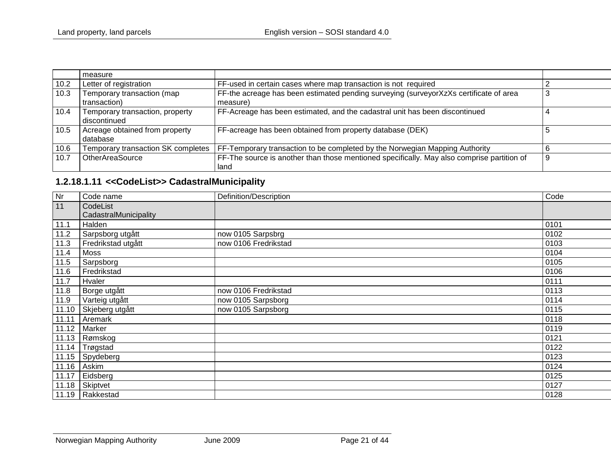|      | measure                                         |                                                                                                    |   |
|------|-------------------------------------------------|----------------------------------------------------------------------------------------------------|---|
| 10.2 | Letter of registration                          | FF-used in certain cases where map transaction is not required                                     |   |
| 10.3 | Temporary transaction (map<br>transaction)      | FF-the acreage has been estimated pending surveying (surveyorXzXs certificate of area<br>measure)  |   |
| 10.4 | Temporary transaction, property<br>discontinued | FF-Acreage has been estimated, and the cadastral unit has been discontinued                        |   |
| 10.5 | Acreage obtained from property<br>database      | FF-acreage has been obtained from property database (DEK)                                          |   |
| 10.6 | Temporary transaction SK completes              | FF-Temporary transaction to be completed by the Norwegian Mapping Authority                        |   |
| 10.7 | <b>OtherAreaSource</b>                          | FF-The source is another than those mentioned specifically. May also comprise partition of<br>land | 9 |

## **1.2.18.1.11 <<CodeList>> CadastralMunicipality**

<span id="page-20-0"></span>

| Nr    | Code name             | Definition/Description | Code |
|-------|-----------------------|------------------------|------|
| 11    | CodeList              |                        |      |
|       | CadastralMunicipality |                        |      |
| 11.1  | Halden                |                        | 0101 |
| 11.2  | Sarpsborg utgått      | now 0105 Sarpsbrg      | 0102 |
| 11.3  | Fredrikstad utgått    | now 0106 Fredrikstad   | 0103 |
| 11.4  | Moss                  |                        | 0104 |
| 11.5  | Sarpsborg             |                        | 0105 |
| 11.6  | Fredrikstad           |                        | 0106 |
| 11.7  | Hvaler                |                        | 0111 |
| 11.8  | Borge utgått          | now 0106 Fredrikstad   | 0113 |
| 11.9  | Varteig utgått        | now 0105 Sarpsborg     | 0114 |
| 11.10 | Skjeberg utgått       | now 0105 Sarpsborg     | 0115 |
| 11.11 | Aremark               |                        | 0118 |
| 11.12 | Marker                |                        | 0119 |
| 11.13 | Rømskog               |                        | 0121 |
| 11.14 | Trøgstad              |                        | 0122 |
| 11.15 | Spydeberg             |                        | 0123 |
| 11.16 | Askim                 |                        | 0124 |
| 11.17 | Eidsberg              |                        | 0125 |
| 11.18 | Skiptvet              |                        | 0127 |
| 11.19 | Rakkestad             |                        | 0128 |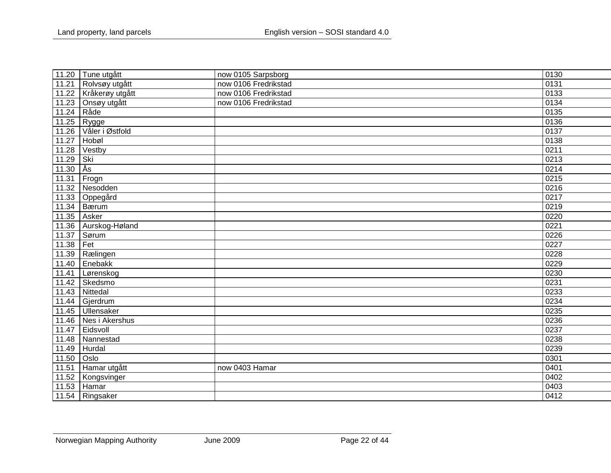|       | 11.20 Tune utgått  | now 0105 Sarpsborg   | 0130 |
|-------|--------------------|----------------------|------|
| 11.21 | Rolvsøy utgått     | now 0106 Fredrikstad | 0131 |
| 11.22 | Kråkerøy utgått    | now 0106 Fredrikstad | 0133 |
| 11.23 | Onsøy utgått       | now 0106 Fredrikstad | 0134 |
| 11.24 | Råde               |                      | 0135 |
| 11.25 | Rygge              |                      | 0136 |
| 11.26 | Våler i Østfold    |                      | 0137 |
| 11.27 | Hobøl              |                      | 0138 |
| 11.28 | Vestby             |                      | 0211 |
| 11.29 | Ski                |                      | 0213 |
| 11.30 | ∣Ås                |                      | 0214 |
| 11.31 | Frogn              |                      | 0215 |
| 11.32 | Nesodden           |                      | 0216 |
| 11.33 | Oppegård           |                      | 0217 |
| 11.34 | Bærum              |                      | 0219 |
| 11.35 | Asker              |                      | 0220 |
| 11.36 | Aurskog-Høland     |                      | 0221 |
| 11.37 | Sørum              |                      | 0226 |
| 11.38 | Fet                |                      | 0227 |
| 11.39 | Rælingen           |                      | 0228 |
| 11.40 | Enebakk            |                      | 0229 |
| 11.41 | Lørenskog          |                      | 0230 |
| 11.42 | Skedsmo            |                      | 0231 |
| 11.43 | Nittedal           |                      | 0233 |
| 11.44 | Gjerdrum           |                      | 0234 |
|       | 11.45   Ullensaker |                      | 0235 |
| 11.46 | Nes i Akershus     |                      | 0236 |
| 11.47 | Eidsvoll           |                      | 0237 |
| 11.48 | Nannestad          |                      | 0238 |
| 11.49 | Hurdal             |                      | 0239 |
| 11.50 | Oslo               |                      | 0301 |
| 11.51 | Hamar utgått       | now 0403 Hamar       | 0401 |
| 11.52 | Kongsvinger        |                      | 0402 |
| 11.53 | Hamar              |                      | 0403 |
|       | 11.54 Ringsaker    |                      | 0412 |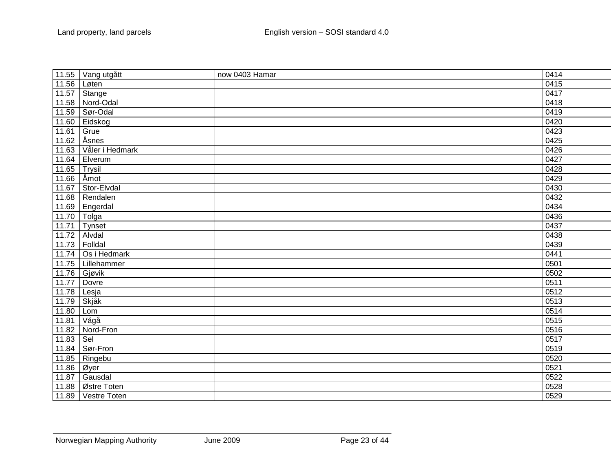|       | 11.55 Vang utgått   | now 0403 Hamar | 0414                |
|-------|---------------------|----------------|---------------------|
| 11.56 | Løten               |                | 0415                |
| 11.57 | Stange              |                | 0417                |
| 11.58 | Nord-Odal           |                | 0418                |
| 11.59 | Sør-Odal            |                | 0419                |
| 11.60 | Eidskog             |                | 0420                |
| 11.61 | Grue                |                | 0423                |
| 11.62 | Åsnes               |                | 0425                |
| 11.63 | Våler i Hedmark     |                | 0426                |
| 11.64 | Elverum             |                | 0427                |
| 11.65 | Trysil              |                | 0428                |
| 11.66 | Åmot                |                | 0429                |
| 11.67 | Stor-Elvdal         |                | 0430                |
| 11.68 | Rendalen            |                | 0432                |
| 11.69 | Engerdal            |                | 0434                |
| 11.70 | T <sub>olga</sub>   |                | 0436                |
| 11.71 | Tynset              |                | 0437                |
| 11.72 | Alvdal              |                | 0438                |
| 11.73 | Folldal             |                | 0439                |
| 11.74 | Os i Hedmark        |                | 0441                |
|       | 11.75   Lillehammer |                | 0501                |
|       | $11.76$ Gjøvik      |                | 0502                |
| 11.77 | Dovre               |                | 0511                |
| 11.78 | Lesja               |                | 0512                |
| 11.79 | Skjåk               |                | 0513                |
| 11.80 | Lom                 |                | 0514                |
| 11.81 | Vågå                |                | 0515                |
| 11.82 | Nord-Fron           |                | 0516                |
| 11.83 | $ $ Sel             |                | 0517                |
|       | 11.84   Sør-Fron    |                | $\frac{0519}{0520}$ |
| 11.85 | Ringebu             |                |                     |
| 11.86 | Øyer                |                | 0521                |
| 11.87 | Gausdal             |                | 0522                |
| 11.88 | Østre Toten         |                | 0528                |
|       | 11.89 Vestre Toten  |                | 0529                |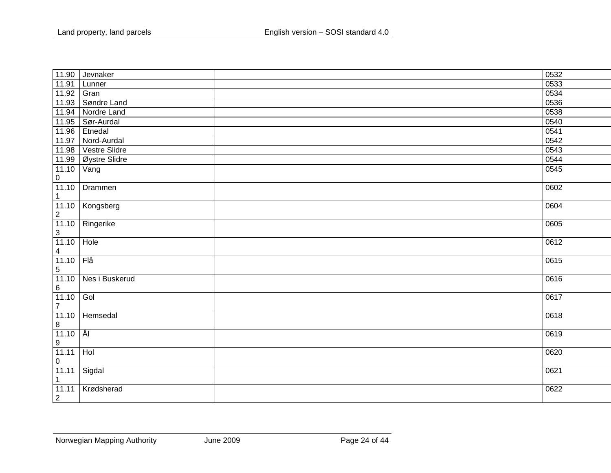| 11.90          | Jevnaker        | 0532 |
|----------------|-----------------|------|
| 11.91          | Lunner          | 0533 |
| 11.92          | Gran            | 0534 |
| 11.93          | Søndre Land     | 0536 |
| 11.94          | Nordre Land     | 0538 |
| 11.95          | Sør-Aurdal      | 0540 |
| 11.96          | Etnedal         | 0541 |
| 11.97          | Nord-Aurdal     | 0542 |
| 11.98          | Vestre Slidre   | 0543 |
| 11.99          | Øystre Slidre   | 0544 |
| 11.10          | Vang            | 0545 |
| 0              |                 |      |
| 11.10          | Drammen         | 0602 |
| $\mathbf{1}$   |                 |      |
|                | 11.10 Kongsberg | 0604 |
| $\overline{2}$ |                 |      |
| 11.10          | Ringerike       | 0605 |
| $\mathbf{3}$   |                 |      |
| 11.10          | Hole            | 0612 |
| $\overline{4}$ |                 |      |
| 11.10          | $F_{\text{la}}$ | 0615 |
| 5              |                 |      |
| 11.10          | Nes i Buskerud  | 0616 |
| $\,6\,$        |                 |      |
| 11.10          | Gol             | 0617 |
| $\overline{7}$ |                 |      |
| 11.10          | Hemsedal        | 0618 |
| 8              |                 |      |
| 11.10          | -ÅI             | 0619 |
| 9              |                 |      |
| 11.11          | Hol             | 0620 |
| 0              |                 |      |
| 11.11          | Sigdal          | 0621 |
| 1              |                 |      |
| 11.11          | Krødsherad      | 0622 |
| $\overline{2}$ |                 |      |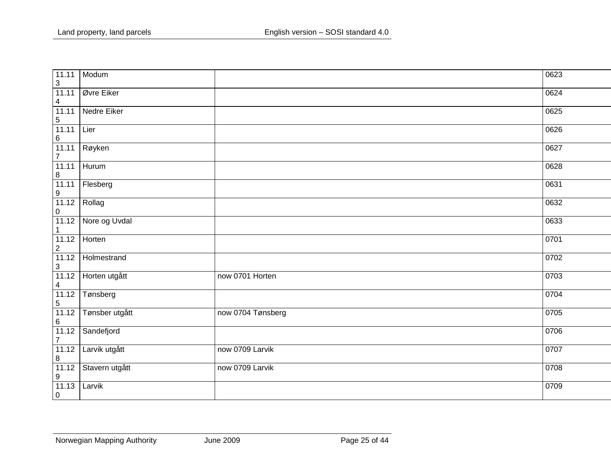| 11.11<br>$\overline{3}$          | Modum          |                   | 0623 |
|----------------------------------|----------------|-------------------|------|
| 11.11<br>$\overline{\mathbf{4}}$ | Øvre Eiker     |                   | 0624 |
| 11.11<br>$\sqrt{5}$              | Nedre Eiker    |                   | 0625 |
| 11.11<br>$\,6\,$                 | Lier           |                   | 0626 |
| 11.11<br>$\overline{7}$          | Røyken         |                   | 0627 |
| 11.11<br>$\bf 8$                 | Hurum          |                   | 0628 |
| 11.11<br>$\boldsymbol{9}$        | Flesberg       |                   | 0631 |
| 11.12<br>$\pmb{0}$               | Rollag         |                   | 0632 |
| 11.12                            | Nore og Uvdal  |                   | 0633 |
| 11.12<br>$\overline{2}$          | Horten         |                   | 0701 |
| 11.12                            | Holmestrand    |                   | 0702 |
| $\frac{3}{11.12}$                | Horten utgått  | now 0701 Horten   | 0703 |
| $\frac{4}{11.12}$<br>$\sqrt{5}$  | Tønsberg       |                   | 0704 |
| 11.12<br>$6\phantom{a}$          | Tønsber utgått | now 0704 Tønsberg | 0705 |
| 11.12<br>$\boldsymbol{7}$        | Sandefjord     |                   | 0706 |
| 11.12<br>$\overline{8}$          | Larvik utgått  | now 0709 Larvik   | 0707 |
| 11.12<br>$\boldsymbol{9}$        | Stavern utgått | now 0709 Larvik   | 0708 |
| 11.13<br>$\overline{0}$          | Larvik         |                   | 0709 |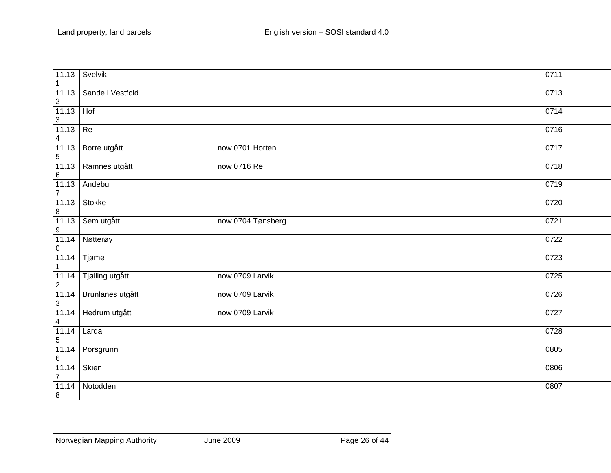| 11.13<br>$\mathbf 1$               | Svelvik          |                   | 0711 |
|------------------------------------|------------------|-------------------|------|
| 11.13<br>$\sqrt{2}$                | Sande i Vestfold |                   | 0713 |
| 11.13<br>$\ensuremath{\mathsf{3}}$ | Hof              |                   | 0714 |
| 11.13<br>$\overline{\mathbf{4}}$   | Re               |                   | 0716 |
| 11.13<br>$\sqrt{5}$                | Borre utgått     | now 0701 Horten   | 0717 |
| 11.13<br>$\,6\,$                   | Ramnes utgått    | now 0716 Re       | 0718 |
| 11.13<br>$\overline{7}$            | Andebu           |                   | 0719 |
| 11.13<br>$\,8\,$                   | Stokke           |                   | 0720 |
| 11.13<br>$\boldsymbol{9}$          | Sem utgått       | now 0704 Tønsberg | 0721 |
| 11.14<br>$\pmb{0}$                 | Nøtterøy         |                   | 0722 |
| 11.14<br>$\mathbf{1}$              | Tjøme            |                   | 0723 |
| 11.14<br>$\overline{c}$            | Tjølling utgått  | now 0709 Larvik   | 0725 |
| 11.14<br>$\mathfrak{S}$            | Brunlanes utgått | now 0709 Larvik   | 0726 |
| 11.14<br>$\overline{\mathbf{4}}$   | Hedrum utgått    | now 0709 Larvik   | 0727 |
| 11.14<br>$\mathbf 5$               | Lardal           |                   | 0728 |
| 11.14<br>$\,6$                     | Porsgrunn        |                   | 0805 |
| 11.14<br>$\overline{7}$            | Skien            |                   | 0806 |
| 11.14<br>$\, 8$                    | Notodden         |                   | 0807 |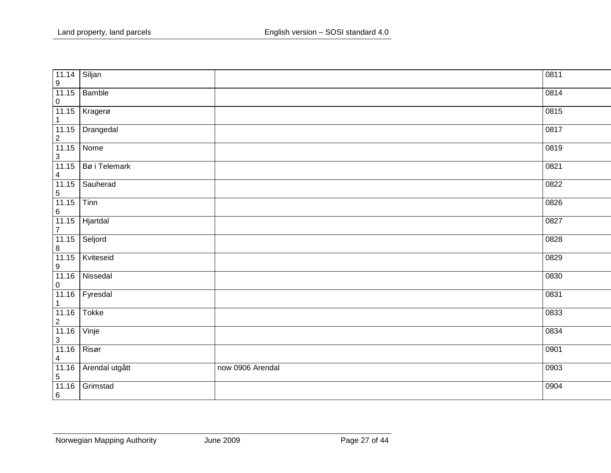| 11.14<br>$\boldsymbol{9}$          | Siljan         |                  | 0811 |
|------------------------------------|----------------|------------------|------|
| 11.15<br>$\pmb{0}$                 | Bamble         |                  | 0814 |
| 11.15<br>$\mathbf{1}$              | Kragerø        |                  | 0815 |
| 11.15<br>$\sqrt{2}$                | Drangedal      |                  | 0817 |
| 11.15<br>$\sqrt{3}$                | Nome           |                  | 0819 |
| 11.15<br>$\overline{\mathbf{4}}$   | Bø i Telemark  |                  | 0821 |
| 11.15<br>$\,$ 5 $\,$               | Sauherad       |                  | 0822 |
| 11.15<br>$\,6\,$                   | Tinn           |                  | 0826 |
| 11.15<br>$\overline{7}$            | Hjartdal       |                  | 0827 |
| 11.15<br>$\,8\,$                   | Seljord        |                  | 0828 |
| 11.15<br>$\boldsymbol{9}$          | Kviteseid      |                  | 0829 |
| 11.16<br>$\pmb{0}$                 | Nissedal       |                  | 0830 |
| 11.16<br>$\mathbf{1}$              | Fyresdal       |                  | 0831 |
| 11.16<br>$\sqrt{2}$                | <b>Tokke</b>   |                  | 0833 |
| 11.16<br>$\ensuremath{\mathsf{3}}$ | Vinje          |                  | 0834 |
| 11.16<br>$\overline{\mathbf{4}}$   | Risør          |                  | 0901 |
| 11.16<br>$\mathbf 5$               | Arendal utgått | now 0906 Arendal | 0903 |
| 11.16<br>$\,6\,$                   | Grimstad       |                  | 0904 |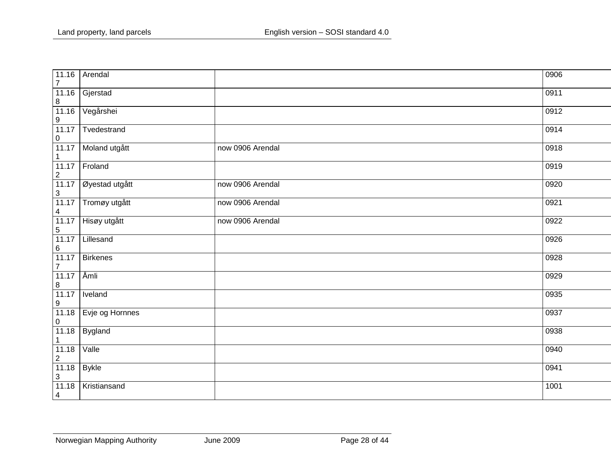| 11.16<br>$\overline{7}$                                                        | Arendal         |                  | 0906 |
|--------------------------------------------------------------------------------|-----------------|------------------|------|
| 11.16                                                                          | Gjerstad        |                  | 0911 |
| $\frac{8}{11.16}$<br>$\boldsymbol{9}$                                          | Vegårshei       |                  | 0912 |
| 11.17<br>$\mathbf 0$                                                           | Tvedestrand     |                  | 0914 |
| 11.17<br>$\mathbf{1}$                                                          | Moland utgått   | now 0906 Arendal | 0918 |
| 11.17<br>$\overline{2}$                                                        | Froland         |                  | 0919 |
| 11.17<br>$\sqrt{3}$                                                            | Øyestad utgått  | now 0906 Arendal | 0920 |
| 11.17<br>$\overline{4}$                                                        | Tromøy utgått   | now 0906 Arendal | 0921 |
| 11.17<br>$\sqrt{5}$                                                            | Hisøy utgått    | now 0906 Arendal | 0922 |
| 11.17<br>6                                                                     | Lillesand       |                  | 0926 |
| 11.17<br>$\overline{7}$                                                        | Birkenes        |                  | 0928 |
| 11.17<br>$\boldsymbol{8}$                                                      | Åmli            |                  | 0929 |
| 11.17<br>$\boldsymbol{9}$                                                      | Iveland         |                  | 0935 |
| 11.18<br>$\mathbf 0$                                                           | Evje og Hornnes |                  | 0937 |
| 11.18<br>$\mathbf{1}$                                                          | Bygland         |                  | 0938 |
| 11.18                                                                          | Valle           |                  | 0940 |
| $\begin{array}{ c c }\n\hline\n2 & 11.18 \\ \hline\n\end{array}$<br>$\sqrt{3}$ | <b>Bykle</b>    |                  | 0941 |
| 11.18<br>$\overline{4}$                                                        | Kristiansand    |                  | 1001 |
|                                                                                |                 |                  |      |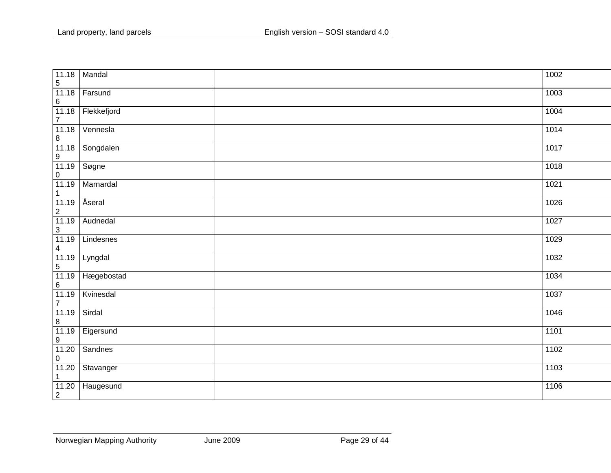| 11.18<br>$\overline{5}$    | Mandal      | $\frac{1002}{ }$ |  |
|----------------------------|-------------|------------------|--|
| 11.18<br>$\,6\,$           | Farsund     | 1003             |  |
| 11.18<br>$\boldsymbol{7}$  | Flekkefjord | 1004             |  |
| 11.18<br>$\boldsymbol{8}$  | Vennesla    | 1014             |  |
| 11.18<br>$\frac{9}{11.19}$ | Songdalen   | 1017             |  |
| $\pmb{0}$                  | Søgne       | 1018             |  |
| 11.19<br>$\mathbf{1}$      | Marnardal   | 1021             |  |
| 11.19<br>$\sqrt{2}$        | Åseral      | 1026             |  |
| 11.19<br>$\overline{3}$    | Audnedal    | 1027             |  |
| 11.19<br>$\overline{4}$    | Lindesnes   | 1029             |  |
| 11.19<br>$\frac{5}{11.19}$ | Lyngdal     | 1032             |  |
| 6                          | Hægebostad  | 1034             |  |
| 11.19<br>$\overline{7}$    | Kvinesdal   | 1037             |  |
| 11.19<br>$\bf 8$           | Sirdal      | 1046             |  |
| 11.19<br>$\boldsymbol{9}$  | Eigersund   | 1101             |  |
| 11.20<br>$\pmb{0}$         | Sandnes     | 1102             |  |
| 11.20<br>1                 | Stavanger   | 1103             |  |
| 11.20<br>$\overline{2}$    | Haugesund   | 1106             |  |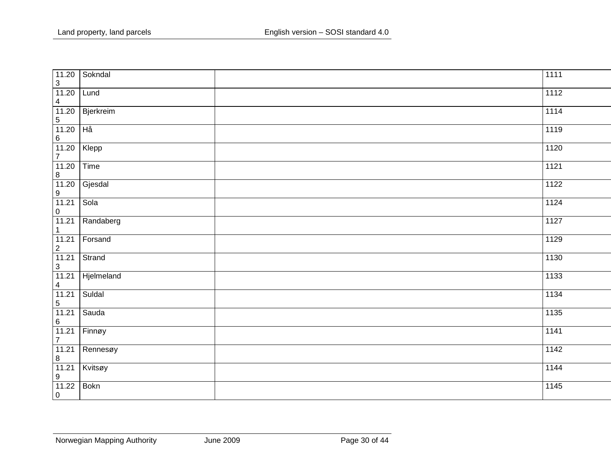| 11.20<br>$\mathfrak{S}$                                     | Sokndal     | 1111 |
|-------------------------------------------------------------|-------------|------|
| 11.20<br>$\overline{\mathbf{4}}$                            | Lund        | 1112 |
| 11.20<br>$\overline{5}$                                     | Bjerkreim   | 1114 |
| 11.20<br>$6\phantom{a}$                                     | Hå          | 1119 |
| 11.20<br>$\overline{7}$                                     | Klepp       | 1120 |
| 11.20<br>$\bf 8$                                            | Time        | 1121 |
| 11.20<br>$\boldsymbol{9}$                                   | Gjesdal     | 1122 |
| 11.21<br>$\mathbf 0$                                        | Sola        | 1124 |
| 11.21<br>$\mathbf{1}$                                       | Randaberg   | 1127 |
| 11.21                                                       | Forsand     | 1129 |
| $\frac{2}{11.21}$<br>$\frac{3}{11.21}$<br>$\frac{4}{11.21}$ | Strand      | 1130 |
|                                                             | Hjelmeland  | 1133 |
| $\frac{11.21}{5}$                                           | Suldal      | 1134 |
| 11.21<br>$\,6\,$                                            | Sauda       | 1135 |
| $\frac{11.21}{7}$                                           | Finnøy      | 1141 |
| 11.21<br>$\bf 8$                                            | Rennesøy    | 1142 |
| 11.21<br>$\boldsymbol{9}$                                   | Kvitsøy     | 1144 |
| 11.22<br>$\overline{0}$                                     | <b>Bokn</b> | 1145 |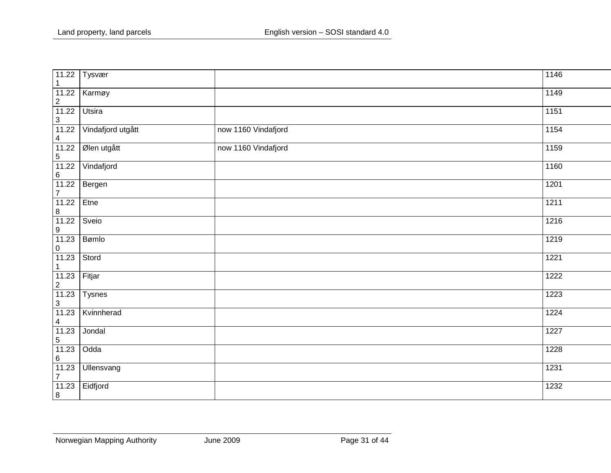| 11.22<br>$\mathbf{1}$                                                                                     | Tysvær            |                     | 1146              |
|-----------------------------------------------------------------------------------------------------------|-------------------|---------------------|-------------------|
| 11.22<br>$\overline{c}$                                                                                   | Karmøy            |                     | 1149              |
| 11.22                                                                                                     | Utsira            |                     | 1151              |
| $\begin{array}{ c c }\n 3 & \text{11.22} \\  \hline\n 11.22 & \text{1} \\  \end{array}$<br>$\overline{4}$ | Vindafjord utgått | now 1160 Vindafjord | 1154              |
| 11.22<br>$\sqrt{5}$                                                                                       | Ølen utgått       | now 1160 Vindafjord | 1159              |
| 11.22<br>$\,6\,$                                                                                          | Vindafjord        |                     | 1160              |
| 11.22<br>$\overline{7}$                                                                                   | Bergen            |                     | 1201              |
| 11.22<br>$\, 8$                                                                                           | Etne              |                     | 1211              |
| 11.22<br>$\boldsymbol{9}$                                                                                 | Sveio             |                     | 1216              |
| 11.23<br>$\pmb{0}$                                                                                        | Bømlo             |                     | 1219              |
| 11.23<br>$\mathbf{1}$                                                                                     | Stord             |                     | 1221              |
| 11.23<br>$\begin{array}{ c c }\n\hline\n2 & 11.23 \\ \hline\n\end{array}$                                 | Fitjar            |                     | 1222              |
| $\sqrt{3}$                                                                                                | <b>Tysnes</b>     |                     | 1223              |
| 11.23<br>$\overline{4}$                                                                                   | Kvinnherad        |                     | 1224              |
| 11.23<br>$\overline{5}$                                                                                   | Jondal            |                     | $\overline{1227}$ |
| 11.23<br>$\,6\,$                                                                                          | Odda              |                     | 1228              |
| 11.23<br>$\overline{7}$                                                                                   | Ullensvang        |                     | 1231              |
| 11.23<br>$\boxed{8}$                                                                                      | Eidfjord          |                     | 1232              |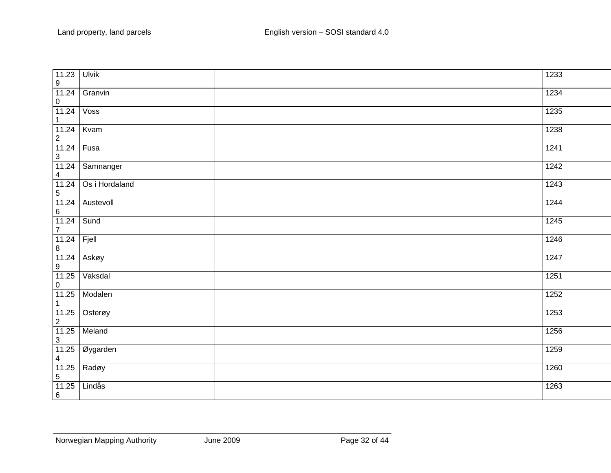| 11.23<br>$\boldsymbol{9}$                                                            | Ulvik          | 1233              |
|--------------------------------------------------------------------------------------|----------------|-------------------|
| 11.24<br>$\mathbf 0$                                                                 | Granvin        | 1234              |
| 11.24<br>$\mathbf{1}$                                                                | Voss           | 1235              |
| 11.24                                                                                | Kvam           | 1238              |
| $\frac{2}{11.24}$                                                                    | Fusa           | 1241              |
| $\begin{array}{ c c }\n 3 & \text{11.24} \\  \hline\n \end{array}$<br>$\overline{4}$ | Samnanger      | 1242              |
| $\frac{1}{11.24}$<br>$\frac{5}{11.24}$                                               | Os i Hordaland | 1243              |
| $\,6\,$                                                                              | Austevoll      | 1244              |
| 11.24<br>$\overline{7}$                                                              | Sund           | 1245              |
| 11.24                                                                                | Fjell          | $\overline{1246}$ |
| $\frac{8}{11.24}$                                                                    | Askøy          | 1247              |
| 11.25<br>$\mathbf 0$                                                                 | Vaksdal        | 1251              |
| 11.25<br>$\overline{1}$                                                              | Modalen        | 1252              |
| $\frac{11.25}{2}$<br>$\frac{11.25}{3}$                                               | Osterøy        | 1253              |
|                                                                                      | Meland         | 1256              |
| 11.25<br>$\overline{4}$                                                              | Øygarden       | 1259              |
| 11.25<br>$\overline{5}$                                                              | Radøy          | 1260              |
| 11.25<br>6                                                                           | Lindås         | 1263              |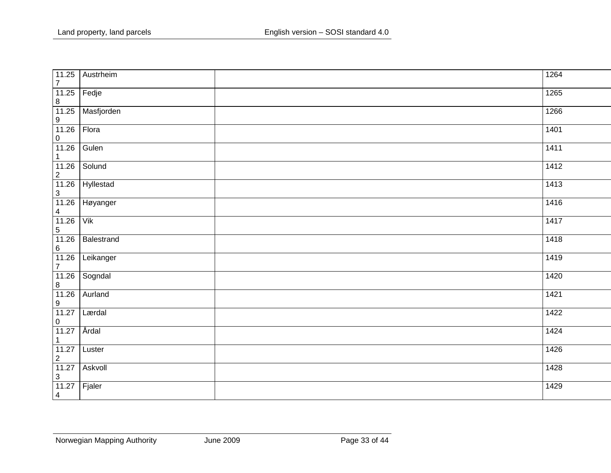| 11.25<br>$\overline{7}$                                                                                                                                                                                                                                                                                                                      | Austrheim  |      | 1264 |
|----------------------------------------------------------------------------------------------------------------------------------------------------------------------------------------------------------------------------------------------------------------------------------------------------------------------------------------------|------------|------|------|
| 11.25<br>$\bf 8$                                                                                                                                                                                                                                                                                                                             | Fedje      | 1265 |      |
| 11.25                                                                                                                                                                                                                                                                                                                                        | Masfjorden | 1266 |      |
| $\frac{9}{11.26}$<br>$\pmb{0}$                                                                                                                                                                                                                                                                                                               | Flora      | 1401 |      |
| 11.26<br>$\mathbf{1}$                                                                                                                                                                                                                                                                                                                        | Gulen      | 1411 |      |
| 11.26<br>$\overline{2}$                                                                                                                                                                                                                                                                                                                      | Solund     | 1412 |      |
| 11.26                                                                                                                                                                                                                                                                                                                                        | Hyllestad  | 1413 |      |
| $\begin{array}{ c c }\n 3 & \text{11.26} \\  \hline\n 11.26 & \text{12.36} \\  \hline\n 0.000 & 0.000 & 0.000 \\  \hline\n 0.000 & 0.000 & 0.000 \\  \hline\n 0.000 & 0.000 & 0.000 & 0.000 \\  \hline\n 0.000 & 0.000 & 0.000 & 0.000 & 0.000 \\  \hline\n 0.000 & 0.000 & 0.000 & 0.000 & 0.000 & 0.000 \\  \hline\n 0.$<br>$\overline{4}$ | Høyanger   | 1416 |      |
| 11.26<br>$\overline{5}$                                                                                                                                                                                                                                                                                                                      | Vik        | 1417 |      |
| 11.26<br>$6 \overline{}$                                                                                                                                                                                                                                                                                                                     | Balestrand | 1418 |      |
| 11.26<br>$\boldsymbol{7}$                                                                                                                                                                                                                                                                                                                    | Leikanger  | 1419 |      |
| 11.26                                                                                                                                                                                                                                                                                                                                        | Sogndal    | 1420 |      |
| $\frac{8}{11.26}$<br>$\overline{9}$                                                                                                                                                                                                                                                                                                          | Aurland    | 1421 |      |
| 11.27<br>$\pmb{0}$                                                                                                                                                                                                                                                                                                                           | Lærdal     | 1422 |      |
| 11.27<br>$\mathbf{1}$                                                                                                                                                                                                                                                                                                                        | Årdal      | 1424 |      |
| 11.27                                                                                                                                                                                                                                                                                                                                        | Luster     | 1426 |      |
| $\begin{array}{ c c }\n\hline\n2 & 11.27 \\ \hline\n\end{array}$<br>$\overline{3}$                                                                                                                                                                                                                                                           | Askvoll    | 1428 |      |
| 11.27<br>$\overline{4}$                                                                                                                                                                                                                                                                                                                      | Fjaler     | 1429 |      |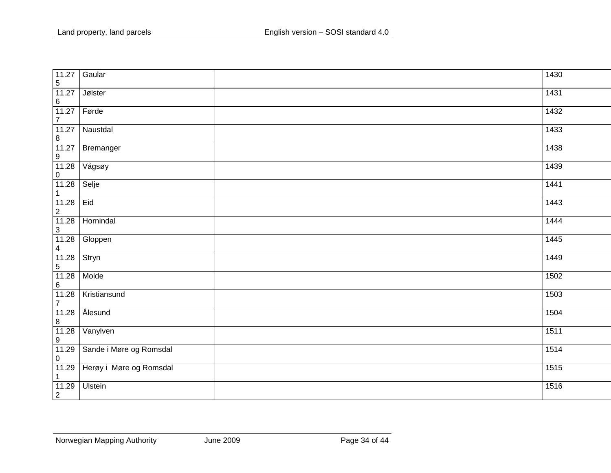| 11.27<br>$\overline{5}$             | Gaular                  | 1430              |
|-------------------------------------|-------------------------|-------------------|
| 11.27<br>$\,6\,$                    | Jølster                 | 1431              |
| 11.27<br>$\overline{7}$             | Førde                   | 1432              |
| 11.27<br>$\, 8$                     | Naustdal                | 1433              |
| 11.27<br>$\boldsymbol{9}$           | Bremanger               | 1438              |
| 11.28<br>$\pmb{0}$                  | Vågsøy                  | 1439              |
| 11.28<br>$\overline{1}$             | Selje                   | 1441              |
| 11.28<br>$\sqrt{2}$                 | Eid                     | 1443              |
| 11.28<br>$\sqrt{3}$                 | Hornindal               | 1444              |
| 11.28                               | Gloppen                 | 1445              |
| $\frac{4}{11.28}$<br>$\overline{5}$ | Stryn                   | 1449              |
| 11.28<br>$\,6\,$                    | Molde                   | 1502              |
| 11.28<br>$\overline{7}$             | Kristiansund            | 1503              |
| 11.28<br>$\frac{8}{11.28}$          | Ålesund                 | 1504              |
| $\boldsymbol{9}$                    | Vanylven                | $\frac{1511}{15}$ |
| 11.29<br>$\mathbf 0$                | Sande i Møre og Romsdal | 1514              |
| 11.29<br>$\mathbf{1}$               | Herøy i Møre og Romsdal | 1515              |
| 11.29<br>$\sqrt{2}$                 | <b>Ulstein</b>          | 1516              |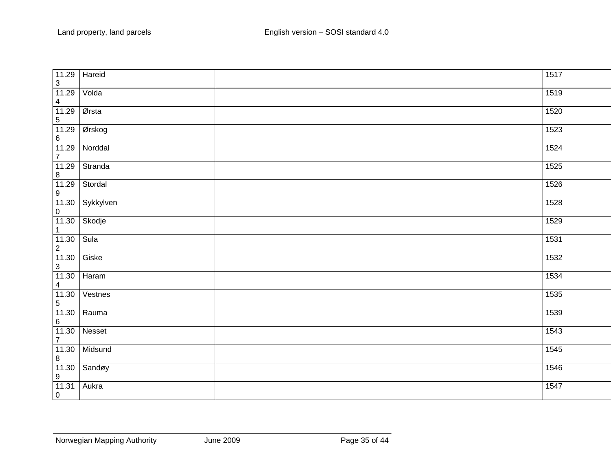| 11.29<br>$\mathbf{3}$                                                                                                            | Hareid    | 1517 |  |
|----------------------------------------------------------------------------------------------------------------------------------|-----------|------|--|
| 11.29                                                                                                                            | Volda     | 1519 |  |
|                                                                                                                                  | Ørsta     | 1520 |  |
| $\begin{array}{r} 11.23 \\ 4 \\ 11.29 \\ 5 \\ 11.29 \\ 6 \\ 11.29 \\ 1\n\end{array}$                                             | Ørskog    | 1523 |  |
| $\overline{7}$                                                                                                                   | Norddal   | 1524 |  |
| 11.29                                                                                                                            | Stranda   | 1525 |  |
| $\frac{8}{11.29}$                                                                                                                | Stordal   | 1526 |  |
| $\frac{9}{11.30}$                                                                                                                | Sykkylven | 1528 |  |
| $\frac{0}{11.30}$<br>$\mathbf{1}$                                                                                                | Skodje    | 1529 |  |
| 11.30                                                                                                                            | Sula      | 1531 |  |
| $\begin{array}{r} 11.30 \\ 2 \\ 11.30 \\ 3 \\ 11.30 \\ 4 \\ 11.30 \\ 5 \\ \underline{11.30} \\ 5 \\ 11.30 \\ \hline \end{array}$ | Giske     | 1532 |  |
|                                                                                                                                  | Haram     | 1534 |  |
|                                                                                                                                  | Vestnes   | 1535 |  |
|                                                                                                                                  | Rauma     | 1539 |  |
| $\frac{11.30}{6}$<br>11.30<br>7                                                                                                  | Nesset    | 1543 |  |
| 11.30                                                                                                                            | Midsund   | 1545 |  |
| $\frac{8}{11.30}$<br>$\boldsymbol{9}$                                                                                            | Sandøy    | 1546 |  |
| 11.31<br>$\overline{0}$                                                                                                          | Aukra     | 1547 |  |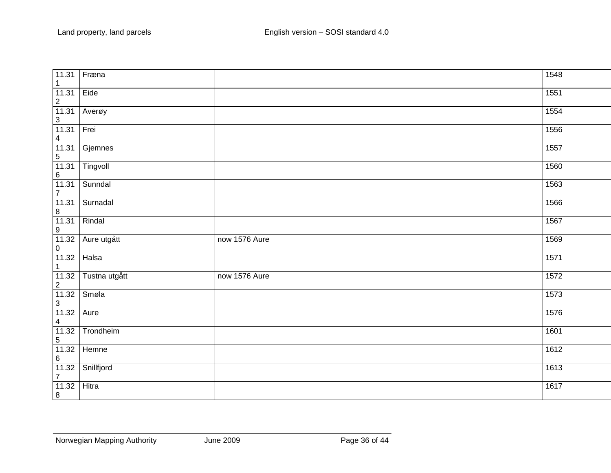| 11.31<br>$\mathbf{1}$                  | Fræna         |               | 1548 |
|----------------------------------------|---------------|---------------|------|
| 11.31<br>$\frac{2}{11.31}$             | Eide          |               | 1551 |
| $\frac{3}{11.31}$                      | Averøy        |               | 1554 |
|                                        | Frei          |               | 1556 |
| $\frac{4}{11.31}$<br>$\frac{5}{11.31}$ | Gjemnes       |               | 1557 |
| $6\phantom{a}$                         | Tingvoll      |               | 1560 |
| $\frac{1}{11.31}$                      | Sunndal       |               | 1563 |
| 11.31<br>$\, 8$                        | Surnadal      |               | 1566 |
| 11.31<br>$\boldsymbol{9}$              | Rindal        |               | 1567 |
| 11.32                                  | Aure utgått   | now 1576 Aure | 1569 |
| $\frac{0}{11.32}$<br>$\overline{1}$    | Halsa         |               | 1571 |
| $\frac{11.32}{2}$<br>11.32             | Tustna utgått | now 1576 Aure | 1572 |
| $\mathbf{3}$                           | Smøla         |               | 1573 |
| 11.32                                  | Aure          |               | 1576 |
| $\frac{4}{11.32}$<br>5                 | Trondheim     |               | 1601 |
| 11.32                                  | Hemne         |               | 1612 |
| $\frac{6}{11.32}$<br>$\overline{7}$    | Snillfjord    |               | 1613 |
| 11.32<br>$\boxed{8}$                   | Hitra         |               | 1617 |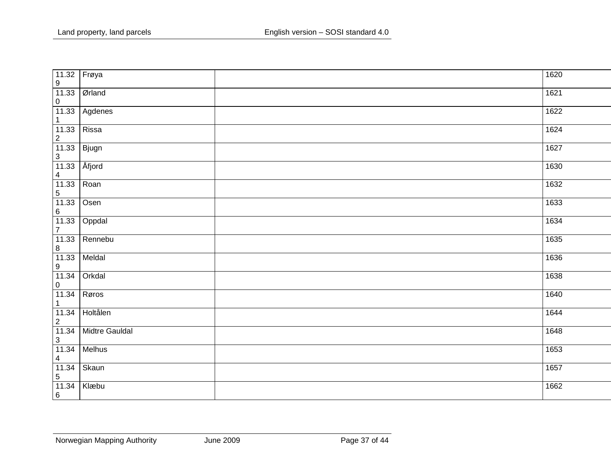| 11.32<br>$\boldsymbol{9}$        | Frøya                 | 1620 |
|----------------------------------|-----------------------|------|
| 11.33<br>$\pmb{0}$               | Ørland                | 1621 |
| 11.33<br>$\mathbf{1}$            | Agdenes               | 1622 |
| 11.33<br>$\sqrt{2}$              | Rissa                 | 1624 |
| 11.33<br>$\mathfrak{S}$          | Bjugn                 | 1627 |
| 11.33<br>$\overline{\mathbf{4}}$ | Åfjord                | 1630 |
| 11.33<br>$\sqrt{5}$              | Roan                  | 1632 |
| 11.33<br>$\,6\,$                 | Osen                  | 1633 |
| 11.33<br>$\overline{7}$          | Oppdal                | 1634 |
| 11.33<br>$\,8\,$                 | Rennebu               | 1635 |
| 11.33<br>$\overline{9}$          | Meldal                | 1636 |
| 11.34<br>$\pmb{0}$               | Orkdal                | 1638 |
| 11.34<br>$\mathbf{1}$            | Røros                 | 1640 |
| $\frac{11.34}{2}$                | Holtålen              | 1644 |
| 11.34<br>$\mathbf{3}$            | <b>Midtre Gauldal</b> | 1648 |
| 11.34<br>$\overline{4}$          | Melhus                | 1653 |
| 11.34<br>$\sqrt{5}$              | Skaun                 | 1657 |
| 11.34<br>$6\phantom{.}6$         | Klæbu                 | 1662 |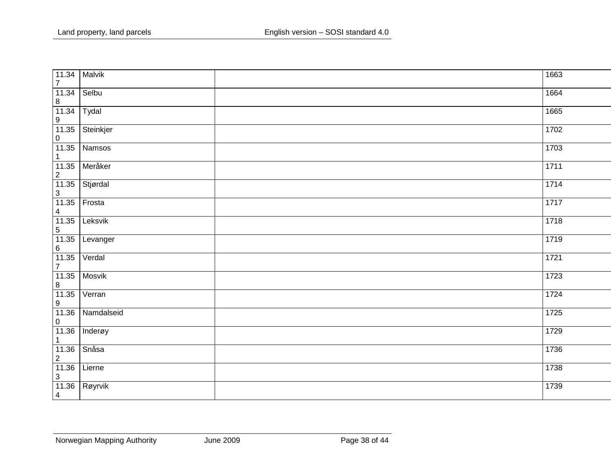| 11.34<br>$\overline{7}$                   | Malvik     | 1663 |
|-------------------------------------------|------------|------|
| 11.34<br>$\bf 8$                          | Selbu      | 1664 |
| 11.34<br>$\boldsymbol{9}$                 | Tydal      | 1665 |
| 11.35<br>$\mathbf 0$                      | Steinkjer  | 1702 |
| 11.35<br>$\mathbf{1}$                     | Namsos     | 1703 |
| 11.35<br>$\frac{2}{11.35}$                | Meråker    | 1711 |
| $\ensuremath{\mathsf{3}}$                 | Stjørdal   | 1714 |
| 11.35<br>$\overline{4}$                   | Frosta     | 1717 |
| 11.35<br>$\overline{5}$                   | Leksvik    | 1718 |
| 11.35<br>$6 \overline{}$                  | Levanger   | 1719 |
| 11.35<br>$\overline{7}$                   | Verdal     | 1721 |
| $\begin{array}{c} 11.35 \\ 8 \end{array}$ | Mosvik     | 1723 |
| 11.35<br>$\boldsymbol{9}$                 | Verran     | 1724 |
| 11.36<br>$\pmb{0}$                        | Namdalseid | 1725 |
| 11.36<br>$\mathbf{1}$                     | Inderøy    | 1729 |
| 11.36<br>$\sqrt{2}$                       | Snåsa      | 1736 |
| 11.36<br>$\ensuremath{\mathsf{3}}$        | Lierne     | 1738 |
| 11.36<br>$\overline{4}$                   | Røyrvik    | 1739 |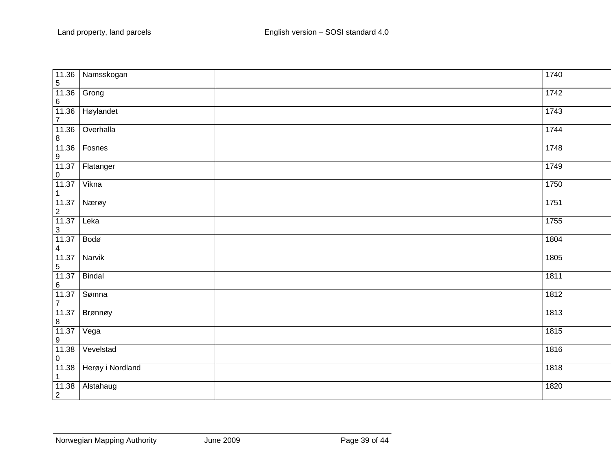| 11.36<br>$\sqrt{5}$                | Namsskogan       | 1740 |
|------------------------------------|------------------|------|
| 11.36<br>$\,6\,$                   | Grong            | 1742 |
| 11.36<br>$\overline{7}$            | Høylandet        | 1743 |
| 11.36<br>$\bf 8$                   | Overhalla        | 1744 |
| 11.36<br>$\boldsymbol{9}$          | Fosnes           | 1748 |
| 11.37<br>$\pmb{0}$                 | Flatanger        | 1749 |
| 11.37<br>$\mathbf{1}$              | Vikna            | 1750 |
| 11.37<br>$\sqrt{2}$                | Nærøy            | 1751 |
| 11.37<br>$\ensuremath{\mathsf{3}}$ | Leka             | 1755 |
| 11.37<br>$\overline{\mathbf{4}}$   | Bodø             | 1804 |
| $\frac{11.37}{5}$                  | Narvik           | 1805 |
| $\frac{11.37}{6}$                  | Bindal           | 1811 |
| 11.37<br>$\overline{7}$            | Sømna            | 1812 |
| 11.37<br>$\,8\,$                   | Brønnøy          | 1813 |
| 11.37<br>$\boldsymbol{9}$          | Vega             | 1815 |
| 11.38<br>$\pmb{0}$                 | Vevelstad        | 1816 |
| 11.38<br>$\mathbf{1}$              | Herøy i Nordland | 1818 |
| 11.38<br>$\overline{2}$            | Alstahaug        | 1820 |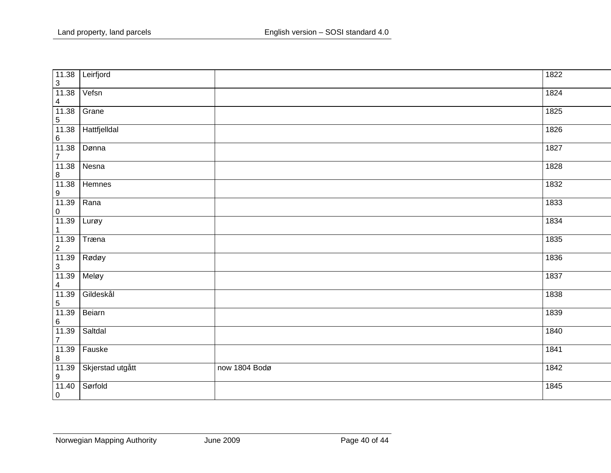| 11.38<br>$\mathfrak{S}$          | Leirfjord        |               | 1822 |
|----------------------------------|------------------|---------------|------|
| 11.38<br>$\overline{\mathbf{4}}$ | Vefsn            |               | 1824 |
| 11.38<br>$\overline{5}$          | Grane            |               | 1825 |
| 11.38<br>$\,6\,$                 | Hattfjelldal     |               | 1826 |
| 11.38<br>$\overline{7}$          | Dønna            |               | 1827 |
| 11.38<br>$\bf 8$                 | Nesna            |               | 1828 |
| 11.38<br>$\overline{9}$          | Hemnes           |               | 1832 |
| 11.39<br>$\mathbf 0$             | Rana             |               | 1833 |
| 11.39<br>$\mathbf{1}$            | Lurøy            |               | 1834 |
| 11.39<br>$\overline{2}$          | Træna            |               | 1835 |
| $\frac{11.39}{3}$                | Rødøy            |               | 1836 |
| 11.39<br>$\overline{\mathbf{4}}$ | Meløy            |               | 1837 |
| $\frac{11.39}{5}$                | Gildeskål        |               | 1838 |
| 11.39<br>$\,6\,$                 | Beiarn           |               | 1839 |
| 11.39<br>$\overline{7}$          | Saltdal          |               | 1840 |
| 11.39<br>$\bf 8$                 | Fauske           |               | 1841 |
| 11.39<br>$\boldsymbol{9}$        | Skjerstad utgått | now 1804 Bodø | 1842 |
| 11.40<br>$\overline{0}$          | Sørfold          |               | 1845 |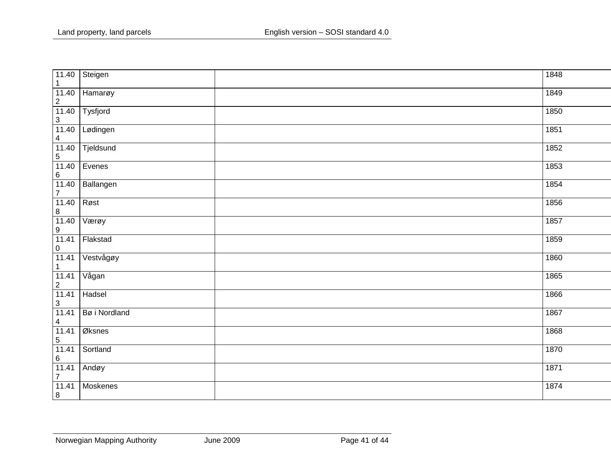| 11.40<br>$\mathbf{1}$              | Steigen       | 1848 |
|------------------------------------|---------------|------|
| 11.40<br>$\overline{c}$            | Hamarøy       | 1849 |
| 11.40<br>$\overline{3}$            | Tysfjord      | 1850 |
| 11.40<br>$\overline{4}$            | Lødingen      | 1851 |
| 11.40<br>$\frac{5}{11.40}$         | Tjeldsund     | 1852 |
| $\,6\,$                            | Evenes        | 1853 |
| 11.40<br>$\overline{7}$            | Ballangen     | 1854 |
| 11.40<br>$\,8\,$                   | Røst          | 1856 |
| 11.40<br>$\boldsymbol{9}$          | Værøy         | 1857 |
| 11.41<br>$\pmb{0}$                 | Flakstad      | 1859 |
| 11.41<br>$\mathbf 1$               | Vestvågøy     | 1860 |
| 11.41<br>$\overline{2}$            | Vågan         | 1865 |
| 11.41<br>$\ensuremath{\mathsf{3}}$ | Hadsel        | 1866 |
| 11.41<br>$\overline{4}$            | Bø i Nordland | 1867 |
| 11.41<br>$\sqrt{5}$                | Øksnes        | 1868 |
| 11.41<br>$6\phantom{a}$            | Sortland      | 1870 |
| 11.41<br>$\overline{7}$            | Andøy         | 1871 |
| 11.41<br>$\overline{8}$            | Moskenes      | 1874 |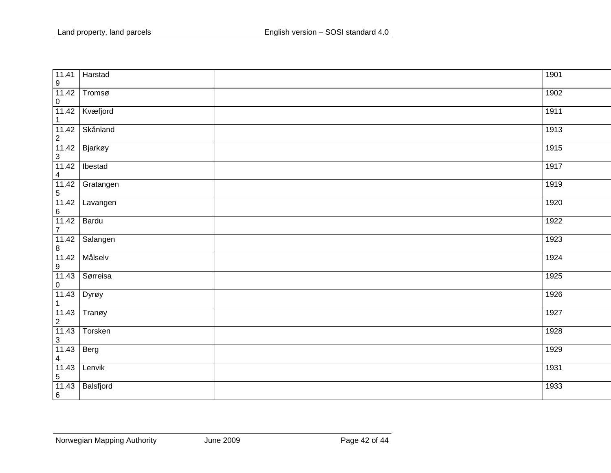| 11.41<br>$\boldsymbol{9}$        | Harstad   | 1901 |  |
|----------------------------------|-----------|------|--|
| 11.42<br>$\pmb{0}$               | Tromsø    | 1902 |  |
| 11.42<br>$\mathbf{1}$            | Kvæfjord  | 1911 |  |
| 11.42<br>$\sqrt{2}$              | Skånland  | 1913 |  |
| 11.42<br>$\sqrt{3}$              | Bjarkøy   | 1915 |  |
| 11.42<br>$\overline{\mathbf{4}}$ | Ibestad   | 1917 |  |
| 11.42<br>$\sqrt{5}$              | Gratangen | 1919 |  |
| 11.42<br>$\,6\,$                 | Lavangen  | 1920 |  |
| 11.42<br>$\overline{7}$          | Bardu     | 1922 |  |
| 11.42<br>$\,8\,$                 | Salangen  | 1923 |  |
| 11.42<br>$\boldsymbol{9}$        | Målselv   | 1924 |  |
| 11.43<br>$\pmb{0}$               | Sørreisa  | 1925 |  |
| 11.43<br>$\mathbf{1}$            | Dyrøy     | 1926 |  |
| 11.43<br>$\mathbf 2$             | Tranøy    | 1927 |  |
| 11.43<br>$\sqrt{3}$              | Torsken   | 1928 |  |
| 11.43<br>$\overline{4}$          | Berg      | 1929 |  |
| 11.43<br>$\sqrt{5}$              | Lenvik    | 1931 |  |
| 11.43<br>$6\phantom{a}$          | Balsfjord | 1933 |  |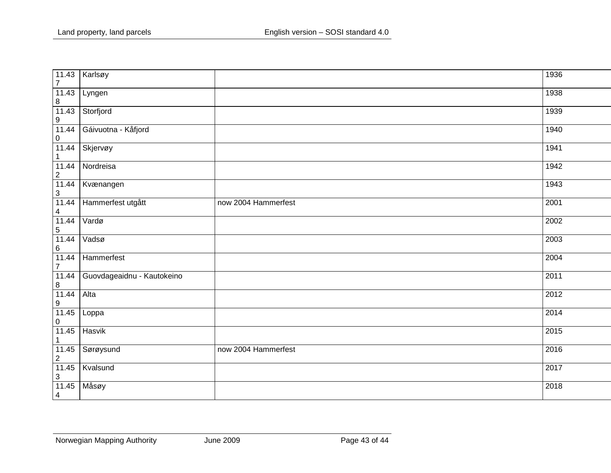| 11.43<br>$\overline{7}$                                                                                                                                                                                                                                                                                                    | Karlsøy                    |                     | 1936 |
|----------------------------------------------------------------------------------------------------------------------------------------------------------------------------------------------------------------------------------------------------------------------------------------------------------------------------|----------------------------|---------------------|------|
| 11.43<br>$\frac{8}{11.43}$                                                                                                                                                                                                                                                                                                 | Lyngen                     |                     | 1938 |
|                                                                                                                                                                                                                                                                                                                            | Storfjord                  |                     | 1939 |
| $\frac{9}{11.44}$                                                                                                                                                                                                                                                                                                          | Gáivuotna - Kåfjord        |                     | 1940 |
| $\frac{0}{11.44}$<br>$\mathbf{1}$                                                                                                                                                                                                                                                                                          | Skjervøy                   |                     | 1941 |
| 11.44<br>$\frac{2}{11.44}$                                                                                                                                                                                                                                                                                                 | Nordreisa                  |                     | 1942 |
| $\frac{3}{11.44}$                                                                                                                                                                                                                                                                                                          | Kvænangen                  |                     | 1943 |
| $\overline{4}$                                                                                                                                                                                                                                                                                                             | Hammerfest utgått          | now 2004 Hammerfest | 2001 |
| 11.44<br>$\frac{5}{11.44}$                                                                                                                                                                                                                                                                                                 | Vardø                      |                     | 2002 |
| $\frac{6}{11.44}$                                                                                                                                                                                                                                                                                                          | Vadsø                      |                     | 2003 |
| $\overline{7}$                                                                                                                                                                                                                                                                                                             | Hammerfest                 |                     | 2004 |
| 11.44<br>$\frac{8}{11.44}$                                                                                                                                                                                                                                                                                                 | Guovdageaidnu - Kautokeino |                     | 2011 |
| $\frac{9}{11.45}$                                                                                                                                                                                                                                                                                                          | Alta                       |                     | 2012 |
| $\frac{0}{11.45}$                                                                                                                                                                                                                                                                                                          | Loppa                      |                     | 2014 |
| $\mathbf{1}$                                                                                                                                                                                                                                                                                                               | Hasvik                     |                     | 2015 |
| 11.45<br>$\frac{2}{11.45}$                                                                                                                                                                                                                                                                                                 | Sørøysund                  | now 2004 Hammerfest | 2016 |
| $\begin{array}{ c c }\n 3 & \text{11.45} \\  \hline\n 11.45 & \text{12.46} \\  \hline\n 0.000 & 0.000 & 0.000 \\  \hline\n 0.000 & 0.000 & 0.000 \\  \hline\n 0.000 & 0.000 & 0.000 & 0.000 \\  \hline\n 0.000 & 0.000 & 0.000 & 0.000 & 0.000 \\  \hline\n 0.000 & 0.000 & 0.000 & 0.000 & 0.000 & 0.000 \\  \hline\n 0.$ | Kvalsund                   |                     | 2017 |
| $\overline{4}$                                                                                                                                                                                                                                                                                                             | Måsøy                      |                     | 2018 |